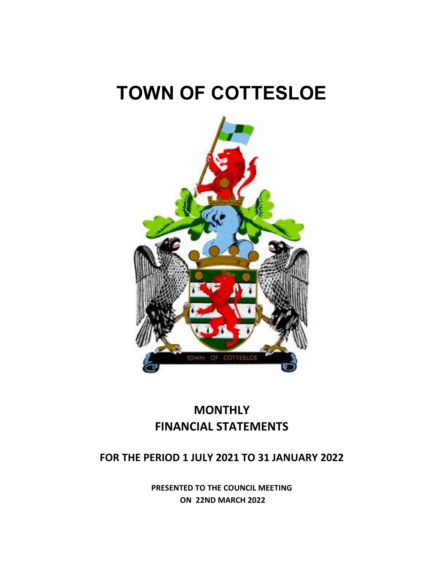# **TOWN OF COTTESLOE**



## **MONTHLY FINANCIAL STATEMENTS**

### **FOR THE PERIOD 1 JULY 2021 TO 31 JANUARY 2022**

**PRESENTED TO THE COUNCIL MEETING ON 22ND MARCH 2022**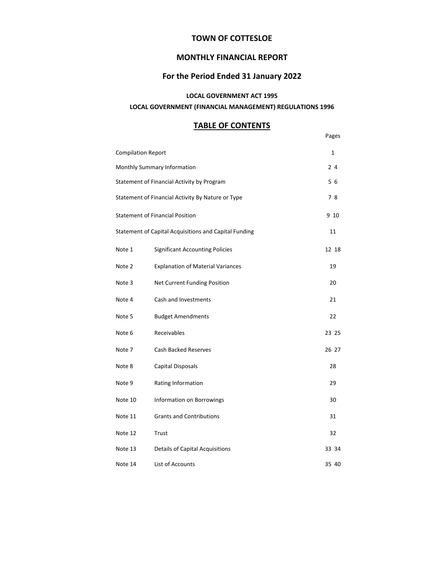### **TOWN OF COTTESLOE**

### **MONTHLY FINANCIAL REPORT**

### **For the Period Ended 31 January 2022**

### **LOCAL GOVERNMENT ACT 1995**

### **LOCAL GOVERNMENT (FINANCIAL MANAGEMENT) REGULATIONS 1996**

### **TABLE OF CONTENTS**

|                                                       |                                            | Pages |  |  |  |
|-------------------------------------------------------|--------------------------------------------|-------|--|--|--|
| <b>Compilation Report</b>                             |                                            |       |  |  |  |
| Monthly Summary Information                           |                                            |       |  |  |  |
|                                                       | Statement of Financial Activity by Program |       |  |  |  |
| Statement of Financial Activity By Nature or Type     |                                            |       |  |  |  |
| <b>Statement of Financial Position</b>                |                                            |       |  |  |  |
| Statement of Capital Acquisitions and Capital Funding |                                            |       |  |  |  |
| Note 1                                                | <b>Significant Accounting Policies</b>     | 12 18 |  |  |  |
| Note 2                                                | <b>Explanation of Material Variances</b>   | 19    |  |  |  |
| Note 3                                                | Net Current Funding Position               | 20    |  |  |  |
| Note 4                                                | Cash and Investments                       | 21    |  |  |  |
| Note 5                                                | <b>Budget Amendments</b>                   | 22    |  |  |  |
| Note 6                                                | Receivables                                | 23 25 |  |  |  |
| Note 7                                                | <b>Cash Backed Reserves</b>                | 26 27 |  |  |  |
| Note 8                                                | Capital Disposals                          | 28    |  |  |  |
| Note 9                                                | Rating Information                         | 29    |  |  |  |
| Note 10                                               | Information on Borrowings                  | 30    |  |  |  |
| Note 11                                               | <b>Grants and Contributions</b>            | 31    |  |  |  |
| Note 12                                               | Trust                                      | 32    |  |  |  |
| Note 13                                               | <b>Details of Capital Acquisitions</b>     | 33 34 |  |  |  |
| Note 14                                               | List of Accounts                           | 35 40 |  |  |  |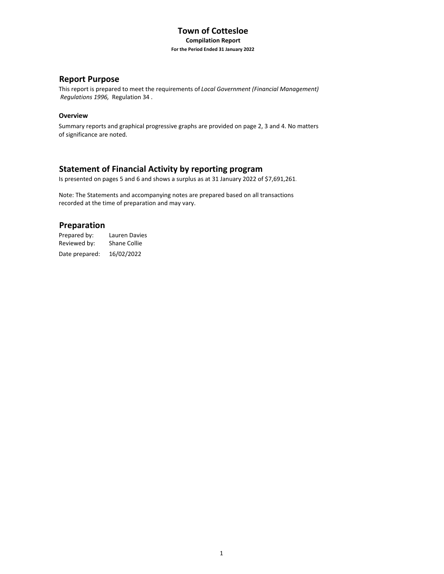### **Town of Cottesloe Compilation Report For the Period Ended 31 January 2022**

### **Report Purpose**

This report is prepared to meet the requirements of *Local Government (Financial Management) Regulations 1996,* Regulation 34 .

### **Overview**

Summary reports and graphical progressive graphs are provided on page 2, 3 and 4. No matters of significance are noted.

### **Statement of Financial Activity by reporting program**

Is presented on pages 5 and 6 and shows a surplus as at 31 January 2022 of \$7,691,261.

Note: The Statements and accompanying notes are prepared based on all transactions recorded at the time of preparation and may vary.

### **Preparation**

Prepared by: Lauren Davies Reviewed by: Shane Collie Date prepared: 16/02/2022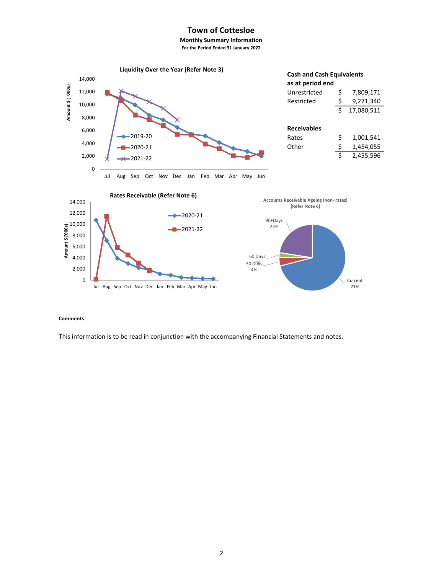### **Town of Cottesloe**

**Monthly Summary Information For the Period Ended 31 January 2022**



#### **Comments**

This information is to be read in conjunction with the accompanying Financial Statements and notes.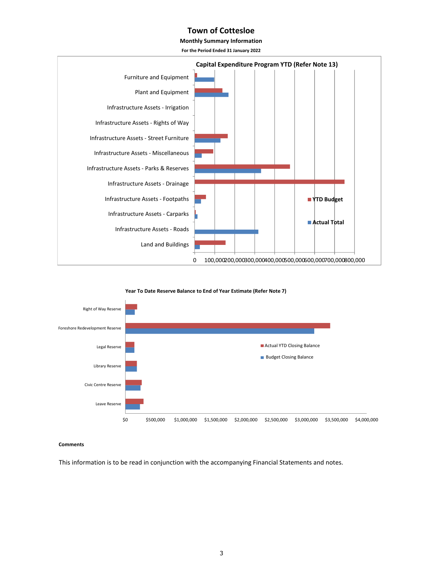### **Town of Cottesloe**

**Monthly Summary Information**

**For the Period Ended 31 January 2022**



**Year To Date Reserve Balance to End of Year Estimate (Refer Note 7)**



#### **Comments**

This information is to be read in conjunction with the accompanying Financial Statements and notes.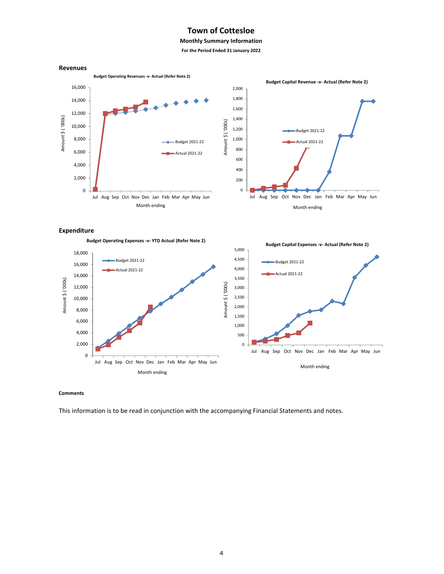### **Town of Cottesloe**

### **Monthly Summary Information**

**For the Period Ended 31 January 2022**



#### **Expenditure**

**Budget Operating Expenses ‐v‐ YTD Actual (Refer Note 2) Budget Capital Expenses ‐v‐ Actual (Refer Note 2)** 5,000 18,000 Budget 2021‐22 4,500 Budget 2021‐22 16,000 4,000 Actual 2021‐22 Actual 2021‐22 14,000 Amount \$ ('000s) 3,500 Amount \$ ( '000s) Amount \$ ('000s) Amount \$ ( '000s) 12,000 3,000 10,000 2,500 2,000 8,000 1,500 6,000 1,000 4,000 500 2,000 0 Jul Aug Sep Oct Nov Dec Jan Feb Mar Apr May Jun 0 Jul Aug Sep Oct Nov Dec Jan Feb Mar Apr May Jun Month ending Month ending

#### **Comments**

This information is to be read in conjunction with the accompanying Financial Statements and notes.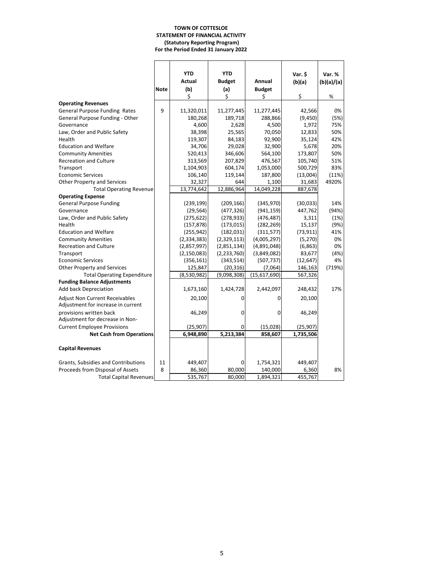#### **TOWN OF COTTESLOE STATEMENT OF FINANCIAL ACTIVITY (Statutory Reporting Program) For the Period Ended 31 January 2022**

|                                       |             | <b>YTD</b>    | <b>YTD</b>    |               | Var. \$   | Var. %         |
|---------------------------------------|-------------|---------------|---------------|---------------|-----------|----------------|
|                                       |             | Actual        | <b>Budget</b> | Annual        | (b)(a)    | (b)(a)/(a)     |
|                                       | <b>Note</b> | (b)           | (a)           | <b>Budget</b> |           |                |
|                                       |             | \$            | Ś             | \$            | \$        | %              |
| <b>Operating Revenues</b>             |             |               |               |               |           |                |
| <b>General Purpose Funding Rates</b>  | 9           | 11,320,011    | 11,277,445    | 11,277,445    | 42,566    | 0%             |
| General Purpose Funding - Other       |             | 180,268       | 189,718       | 288,866       | (9,450)   | (5%)           |
| Governance                            |             | 4,600         | 2,628         | 4,500         | 1,972     | 75%            |
| Law, Order and Public Safety          |             | 38,398        | 25,565        | 70,050        | 12,833    | 50%            |
| Health                                |             | 119,307       | 84,183        | 92,900        | 35,124    | 42%            |
| <b>Education and Welfare</b>          |             | 34,706        | 29,028        | 32,900        | 5,678     | 20%            |
| <b>Community Amenities</b>            |             | 520,413       | 346,606       | 564,100       | 173,807   | 50%            |
| <b>Recreation and Culture</b>         |             | 313,569       | 207,829       | 476,567       | 105,740   | 51%            |
| Transport                             |             | 1,104,903     | 604,174       | 1,053,000     | 500,729   | 83%            |
| <b>Economic Services</b>              |             | 106,140       | 119,144       | 187,800       | (13,004)  |                |
| Other Property and Services           |             | 32,327        | 644           | 1,100         | 31,683    | (11%)<br>4920% |
|                                       |             | 13,774,642    | 12,886,964    | 14,049,228    |           |                |
| <b>Total Operating Revenue</b>        |             |               |               |               | 887,678   |                |
| <b>Operating Expense</b>              |             |               |               |               |           |                |
| <b>General Purpose Funding</b>        |             | (239, 199)    | (209, 166)    | (345,970)     | (30,033)  | 14%            |
| Governance                            |             | (29, 564)     | (477, 326)    | (941, 159)    | 447,762   | (94%)          |
| Law, Order and Public Safety          |             | (275, 622)    | (278, 933)    | (476, 487)    | 3,311     | (1%)           |
| Health                                |             | (157, 878)    | (173, 015)    | (282, 269)    | 15,137    | (9%)           |
| <b>Education and Welfare</b>          |             | (255, 942)    | (182, 031)    | (311, 577)    | (73, 911) | 41%            |
| <b>Community Amenities</b>            |             | (2, 334, 383) | (2,329,113)   | (4,005,297)   | (5, 270)  | 0%             |
| <b>Recreation and Culture</b>         |             | (2,857,997)   | (2,851,134)   | (4,891,048)   | (6, 863)  | 0%             |
| Transport                             |             | (2, 150, 083) | (2, 233, 760) | (3,849,082)   | 83,677    | (4% )          |
| <b>Economic Services</b>              |             | (356, 161)    | (343, 514)    | (507, 737)    | (12, 647) | 4%             |
| Other Property and Services           |             | 125,847       | (20, 316)     | (7,064)       | 146,163   | (719%)         |
| <b>Total Operating Expenditure</b>    |             | (8,530,982)   | (9,098,308)   | (15,617,690)  | 567,326   |                |
| <b>Funding Balance Adjustments</b>    |             |               |               |               |           |                |
| <b>Add back Depreciation</b>          |             | 1,673,160     | 1,424,728     | 2,442,097     | 248,432   | 17%            |
| <b>Adjust Non Current Receivables</b> |             | 20,100        | 0             | 0             | 20,100    |                |
| Adjustment for increase in current    |             |               |               |               |           |                |
| provisions written back               |             | 46,249        | 0             | 0             | 46,249    |                |
| Adjustment for decrease in Non-       |             |               |               |               |           |                |
| <b>Current Employee Provisions</b>    |             | (25,907)      | 0             | (15,028)      | (25,907)  |                |
| <b>Net Cash from Operations</b>       |             | 6,948,890     | 5,213,384     | 858,607       | 1,735,506 |                |
|                                       |             |               |               |               |           |                |
| <b>Capital Revenues</b>               |             |               |               |               |           |                |
|                                       |             |               |               |               |           |                |
| Grants, Subsidies and Contributions   | 11          | 449,407       | 0             | 1,754,321     | 449,407   |                |
| Proceeds from Disposal of Assets      | 8           | 86,360        | 80,000        | 140,000       | 6,360     | 8%             |
| <b>Total Capital Revenues</b>         |             | 535,767       | 80,000        | 1,894,321     | 455,767   |                |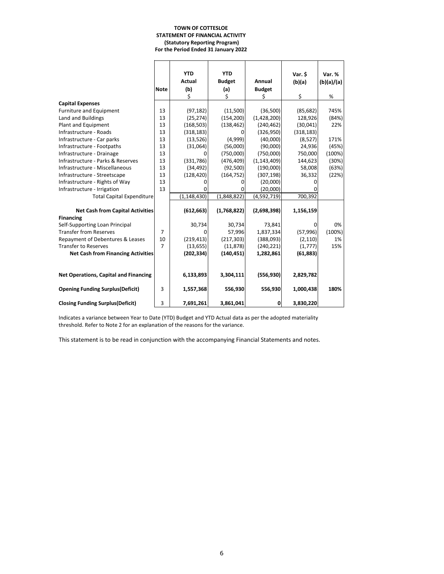#### **TOWN OF COTTESLOE STATEMENT OF FINANCIAL ACTIVITY (Statutory Reporting Program) For the Period Ended 31 January 2022**

|                                           |                | <b>YTD</b>    | <b>YTD</b>    |               | Var. \$      | Var. %     |
|-------------------------------------------|----------------|---------------|---------------|---------------|--------------|------------|
|                                           |                | Actual        | <b>Budget</b> | Annual        | (b)(a)       | (b)(a)/(a) |
|                                           | <b>Note</b>    | (b)           | (a)           | <b>Budget</b> |              |            |
|                                           |                | \$            | \$            | Ŝ.            | \$           | %          |
| <b>Capital Expenses</b>                   |                |               |               |               |              |            |
| <b>Furniture and Equipment</b>            | 13             | (97, 182)     | (11,500)      | (36,500)      | (85, 682)    | 745%       |
| Land and Buildings                        | 13             | (25, 274)     | (154, 200)    | (1,428,200)   | 128,926      | (84%)      |
| Plant and Equipment                       | 13             | (168, 503)    | (138, 462)    | (240, 462)    | (30,041)     | 22%        |
| Infrastructure - Roads                    | 13             | (318, 183)    |               | (326, 950)    | (318, 183)   |            |
| Infrastructure - Car parks                | 13             | (13, 526)     | (4,999)       | (40,000)      | (8,527)      | 171%       |
| Infrastructure - Footpaths                | 13             | (31,064)      | (56,000)      | (90,000)      | 24,936       | (45%)      |
| Infrastructure - Drainage                 | 13             |               | (750,000)     | (750,000)     | 750,000      | (100%)     |
| Infrastructure - Parks & Reserves         | 13             | (331,786)     | (476, 409)    | (1, 143, 409) | 144,623      | (30%)      |
| Infrastructure - Miscellaneous            | 13             | (34, 492)     | (92, 500)     | (190,000)     | 58,008       | (63%)      |
| Infrastructure - Streetscape              | 13             | (128, 420)    | (164, 752)    | (307, 198)    | 36,332       | (22%)      |
| Infrastructure - Rights of Way            | 13             |               |               | (20,000)      |              |            |
| Infrastructure - Irrigation               | 13             |               |               | (20,000)      |              |            |
| <b>Total Capital Expenditure</b>          |                | (1, 148, 430) | (1,848,822)   | (4,592,719)   | 700,392      |            |
|                                           |                |               |               |               |              |            |
| <b>Net Cash from Capital Activities</b>   |                | (612, 663)    | (1,768,822)   | (2,698,398)   | 1,156,159    |            |
| <b>Financing</b>                          |                |               |               |               |              |            |
| Self-Supporting Loan Principal            |                | 30,734        | 30,734        | 73,841        | <sup>0</sup> | 0%         |
| <b>Transfer from Reserves</b>             | $\overline{7}$ | n             | 57,996        | 1,837,334     | (57, 996)    | (100%)     |
| Repayment of Debentures & Leases          | 10             | (219, 413)    | (217, 303)    | (388,093)     | (2, 110)     | 1%         |
| <b>Transfer to Reserves</b>               | $\overline{7}$ | (13, 655)     | (11, 878)     | (240, 221)    | (1,777)      | 15%        |
| <b>Net Cash from Financing Activities</b> |                | (202, 334)    | (140, 451)    | 1,282,861     | (61, 883)    |            |
|                                           |                |               |               |               |              |            |
| Net Operations, Capital and Financing     |                | 6,133,893     | 3,304,111     | (556, 930)    | 2,829,782    |            |
| <b>Opening Funding Surplus (Deficit)</b>  | 3              | 1,557,368     | 556,930       | 556,930       | 1,000,438    | 180%       |
| <b>Closing Funding Surplus (Deficit)</b>  | 3              | 7,691,261     | 3,861,041     | 0             | 3,830,220    |            |

Indicates a variance between Year to Date (YTD) Budget and YTD Actual data as per the adopted materiality threshold. Refer to Note 2 for an explanation of the reasons for the variance.

This statement is to be read in conjunction with the accompanying Financial Statements and notes.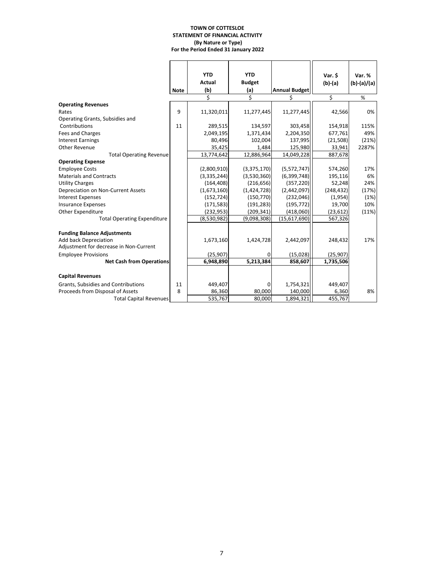#### **TOWN OF COTTESLOE STATEMENT OF FINANCIAL ACTIVITY (By Nature or Type) For the Period Ended 31 January 2022**

|                                        |             | <b>YTD</b>    | <b>YTD</b>    |                      | Var. \$    | Var. %        |
|----------------------------------------|-------------|---------------|---------------|----------------------|------------|---------------|
|                                        |             | <b>Actual</b> | <b>Budget</b> |                      | $(b)-(a)$  | $(b)-(a)/(a)$ |
|                                        | <b>Note</b> | (b)           | (a)           | <b>Annual Budget</b> |            |               |
|                                        |             | Ś             | Ś             | Ś                    | \$         | %             |
| <b>Operating Revenues</b>              |             |               |               |                      |            |               |
| Rates                                  | 9           | 11,320,011    | 11,277,445    | 11,277,445           | 42,566     | 0%            |
| Operating Grants, Subsidies and        |             |               |               |                      |            |               |
| Contributions                          | 11          | 289,515       | 134,597       | 303,458              | 154,918    | 115%          |
| Fees and Charges                       |             | 2,049,195     | 1,371,434     | 2,204,350            | 677,761    | 49%           |
| <b>Interest Earnings</b>               |             | 80,496        | 102.004       | 137,995              | (21, 508)  | (21%)         |
| Other Revenue                          |             | 35,425        | 1,484         | 125,980              | 33,941     | 2287%         |
| <b>Total Operating Revenue</b>         |             | 13,774,642    | 12,886,964    | 14,049,228           | 887,678    |               |
| <b>Operating Expense</b>               |             |               |               |                      |            |               |
| <b>Employee Costs</b>                  |             | (2,800,910)   | (3,375,170)   | (5,572,747)          | 574,260    | 17%           |
| <b>Materials and Contracts</b>         |             | (3,335,244)   | (3,530,360)   | (6, 399, 748)        | 195,116    | 6%            |
| <b>Utility Charges</b>                 |             | (164, 408)    | (216, 656)    | (357, 220)           | 52,248     | 24%           |
| Depreciation on Non-Current Assets     |             | (1,673,160)   | (1,424,728)   | (2,442,097)          | (248, 432) | (17%)         |
| <b>Interest Expenses</b>               |             | (152, 724)    | (150, 770)    | (232,046)            | (1,954)    | (1%)          |
| <b>Insurance Expenses</b>              |             | (171, 583)    | (191, 283)    | (195, 772)           | 19,700     | 10%           |
| Other Expenditure                      |             | (232, 953)    | (209, 341)    | (418,060)            | (23, 612)  | (11%)         |
| <b>Total Operating Expenditure</b>     |             | (8,530,982)   | (9,098,308)   | (15,617,690)         | 567,326    |               |
|                                        |             |               |               |                      |            |               |
| <b>Funding Balance Adjustments</b>     |             |               |               |                      |            |               |
| Add back Depreciation                  |             | 1,673,160     | 1,424,728     | 2,442,097            | 248,432    | 17%           |
| Adjustment for decrease in Non-Current |             |               |               |                      |            |               |
| <b>Employee Provisions</b>             |             | (25, 907)     | 0             | (15,028)             | (25, 907)  |               |
| <b>Net Cash from Operations</b>        |             | 6,948,890     | 5,213,384     | 858,607              | 1,735,506  |               |
|                                        |             |               |               |                      |            |               |
| <b>Capital Revenues</b>                |             |               |               |                      |            |               |
| Grants, Subsidies and Contributions    | 11          | 449,407       | 0             | 1,754,321            | 449,407    |               |
| Proceeds from Disposal of Assets       | 8           | 86,360        | 80,000        | 140,000              | 6,360      | 8%            |
| <b>Total Capital Revenues</b>          |             | 535,767       | 80,000        | 1,894,321            | 455,767    |               |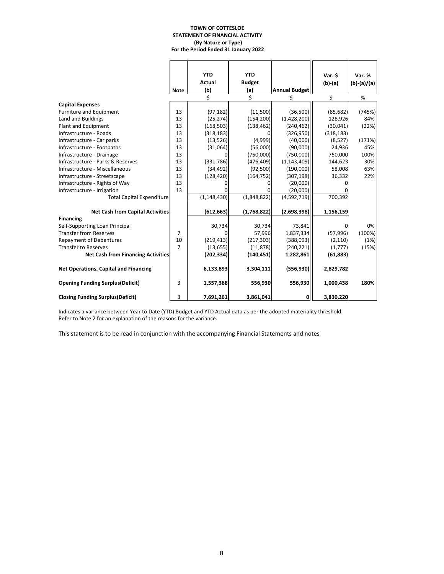#### **TOWN OF COTTESLOE STATEMENT OF FINANCIAL ACTIVITY (By Nature or Type) For the Period Ended 31 January 2022**

|                                              |                | <b>YTD</b>    | <b>YTD</b>    |                      | Var. \$    | Var. %        |
|----------------------------------------------|----------------|---------------|---------------|----------------------|------------|---------------|
|                                              |                | Actual        | <b>Budget</b> |                      | (b)-(a)    | $(b)-(a)/(a)$ |
|                                              | <b>Note</b>    | (b)           | (a)           | <b>Annual Budget</b> |            |               |
|                                              |                |               | Ś             |                      | \$         | %             |
| <b>Capital Expenses</b>                      |                |               |               |                      |            |               |
| <b>Furniture and Equipment</b>               | 13             | (97, 182)     | (11,500)      | (36,500)             | (85, 682)  | (745%)        |
| Land and Buildings                           | 13             | (25, 274)     | (154, 200)    | (1,428,200)          | 128,926    | 84%           |
| Plant and Equipment                          | 13             | (168, 503)    | (138, 462)    | (240, 462)           | (30,041)   | (22%)         |
| Infrastructure - Roads                       | 13             | (318, 183)    | O             | (326, 950)           | (318, 183) |               |
| Infrastructure - Car parks                   | 13             | (13,526)      | (4,999)       | (40,000)             | (8,527)    | (171%)        |
| Infrastructure - Footpaths                   | 13             | (31,064)      | (56,000)      | (90,000)             | 24,936     | 45%           |
| Infrastructure - Drainage                    | 13             |               | (750,000)     | (750,000)            | 750,000    | 100%          |
| Infrastructure - Parks & Reserves            | 13             | (331, 786)    | (476, 409)    | (1, 143, 409)        | 144,623    | 30%           |
| Infrastructure - Miscellaneous               | 13             | (34, 492)     | (92, 500)     | (190,000)            | 58,008     | 63%           |
| Infrastructure - Streetscape                 | 13             | (128, 420)    | (164, 752)    | (307, 198)           | 36,332     | 22%           |
| Infrastructure - Rights of Way               | 13             |               | 0             | (20,000)             | n          |               |
| Infrastructure - Irrigation                  | 13             |               | 0             | (20,000)             |            |               |
| <b>Total Capital Expenditure</b>             |                | (1, 148, 430) | (1,848,822)   | (4,592,719)          | 700,392    |               |
| <b>Net Cash from Capital Activities</b>      |                | (612, 663)    | (1,768,822)   | (2,698,398)          | 1,156,159  |               |
| <b>Financing</b>                             |                |               |               |                      |            |               |
| Self-Supporting Loan Principal               |                | 30,734        | 30,734        | 73,841               | O          | 0%            |
| <b>Transfer from Reserves</b>                | $\overline{7}$ | ŋ             | 57,996        | 1,837,334            | (57, 996)  | (100%)        |
| <b>Repayment of Debentures</b>               | 10             | (219, 413)    | (217, 303)    | (388,093)            | (2, 110)   | (1%)          |
| <b>Transfer to Reserves</b>                  | $\overline{7}$ | (13, 655)     | (11, 878)     | (240, 221)           | (1,777)    | (15%)         |
| <b>Net Cash from Financing Activities</b>    |                | (202, 334)    | (140, 451)    | 1,282,861            | (61, 883)  |               |
| <b>Net Operations, Capital and Financing</b> |                | 6,133,893     | 3,304,111     | (556, 930)           | 2,829,782  |               |
| <b>Opening Funding Surplus (Deficit)</b>     | 3              | 1,557,368     | 556,930       | 556,930              | 1,000,438  | 180%          |
| <b>Closing Funding Surplus(Deficit)</b>      | 3              | 7,691,261     | 3,861,041     | 0                    | 3,830,220  |               |

Indicates a variance between Year to Date (YTD) Budget and YTD Actual data as per the adopted materiality threshold. Refer to Note 2 for an explanation of the reasons for the variance.

This statement is to be read in conjunction with the accompanying Financial Statements and notes.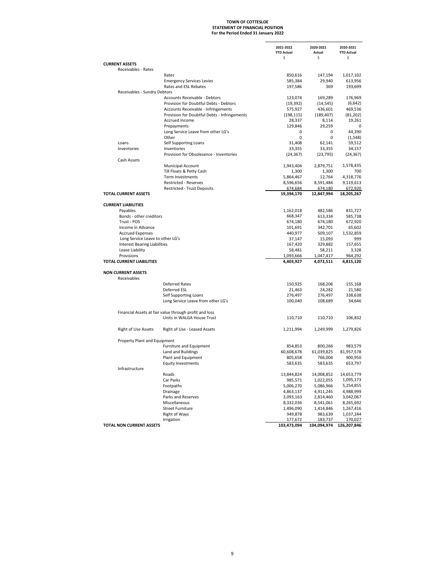### **For the Period Ended 31 January 2022 STATEMENT OF FINANCIAL POSITION TOWN OF COTTESLOE**

| \$<br>\$<br>\$<br><b>CURRENT ASSETS</b><br>Receivables - Rates<br>147,194<br>Rates<br>850,616<br>29,940<br>613,956<br><b>Emergency Services Levies</b><br>585,384<br>Rates and ESL Rebates<br>197,586<br>193,699<br>369<br>Receivables - Sundry Debtors<br>176,969<br>Accounts Receivable - Debtors<br>123,074<br>169,289<br>Provision for Doubtful Debts - Debtors<br>(19, 392)<br>(14, 545)<br>Accounts Receivable - Infringements<br>575,927<br>436,601<br>Provision for Doubtful Debts - Infringements<br>(198, 115)<br>(189, 407)<br>Accrued Income<br>28,337<br>8,114<br>Prepayments<br>129,846<br>29,259<br>0<br>Long Service Leave from other LG's<br>44.390<br>0<br>0<br>Other<br>0<br>0<br>Loans<br>31,408<br>62,141<br>Self Supporting Loans<br>Inventories<br>Inventories<br>33,355<br>33,355<br>Provision for Obsolesence - Inventories<br>(24, 367)<br>(23, 795)<br>(24, 367)<br>Cash Assets<br>Municipal Account<br>2,879,751<br>1,578,435<br>1,943,404<br>Till Floats & Petty Cash<br>1,300<br>1,300<br>700<br><b>Term Investments</b><br>5,864,467<br>12,764<br>4,318,776<br><b>Restricted - Reserves</b><br>8,596,656<br>8,591,484<br><b>Restricted - Trust Deposits</b><br>674,684<br>674,180<br><b>TOTAL CURRENT ASSETS</b><br>19,394,170<br>12,847,994<br><b>CURRENT LIABILITIES</b><br>Payables<br>1,162,018<br>482,586<br>Bonds - other creditors<br>668,347<br>613,334<br>Trust - POS<br>674,180<br>674,180<br>342,701<br>Income in Advance<br>101,691<br><b>Accrued Expenses</b><br>440,977<br>509,107<br>1,532,859<br>Long Service Leave to other LG's<br>999<br>37,147<br>15,093<br><b>Interest Bearing Liabilities</b><br>167,420<br>329,882<br>157,655<br>Lease Liability<br>58,481<br>58,211<br>3,328<br>Provisions<br>1,047,417<br>1,093,666<br>TOTAL CURRENT LIABILITIES<br>4,403,927<br>4,072,511<br><b>NON CURRENT ASSETS</b><br>Receivables<br><b>Deferred Rates</b><br>150,925<br>168,206<br>Deferred ESL<br>21,580<br>21,463<br>24,282<br>276,497<br>Self Supporting Loans<br>276,497<br>Long Service Leave from other LG's<br>34,646<br>100,040<br>108,689<br>Financial Assets at fair value through profit and loss<br>Units in WALGA House Trust<br>110,710<br>110,710<br>106,832<br>Right of Use Assets<br>Right of Use - Leased Assets<br>1,211,994<br>1,249,999<br>1,279,826<br>Property Plant and Equipment<br>Furniture and Equipment<br>983,579<br>854,853<br>800,266<br>Land and Buildings<br>61,039,825<br>60,608,678<br>Plant and Equipment<br>805,658<br>766,004<br>900,950<br><b>Equity Investments</b><br>583,635<br>583,635<br>Infrastructure<br>14,653,779<br>Roads<br>13,844,824<br>14,008,852<br>Car Parks<br>985,571<br>1,022,055<br>Footpaths<br>5,006,270<br>5,086,966<br>Drainage<br>4,863,137<br>4,911,245<br>Parks and Reserves<br>3,093,163<br>2,814,460<br>Miscellaneous<br>8,332,036<br>8,541,061<br>8,265,692<br><b>Street Furniture</b><br>1,496,090<br>1,414,846<br>Right of Ways<br>949,878<br>983,639<br>Irrigation<br>177,672<br>183,737<br>TOTAL NON CURRENT ASSETS |  | 2021-2022<br><b>YTD Actual</b> | 2020-2021<br>Actual | 2020-2021<br><b>YTD Actual</b> |
|---------------------------------------------------------------------------------------------------------------------------------------------------------------------------------------------------------------------------------------------------------------------------------------------------------------------------------------------------------------------------------------------------------------------------------------------------------------------------------------------------------------------------------------------------------------------------------------------------------------------------------------------------------------------------------------------------------------------------------------------------------------------------------------------------------------------------------------------------------------------------------------------------------------------------------------------------------------------------------------------------------------------------------------------------------------------------------------------------------------------------------------------------------------------------------------------------------------------------------------------------------------------------------------------------------------------------------------------------------------------------------------------------------------------------------------------------------------------------------------------------------------------------------------------------------------------------------------------------------------------------------------------------------------------------------------------------------------------------------------------------------------------------------------------------------------------------------------------------------------------------------------------------------------------------------------------------------------------------------------------------------------------------------------------------------------------------------------------------------------------------------------------------------------------------------------------------------------------------------------------------------------------------------------------------------------------------------------------------------------------------------------------------------------------------------------------------------------------------------------------------------------------------------------------------------------------------------------------------------------------------------------------------------------------------------------------------------------------------------------------------------------------------------------------------------------------------------------------------------------------------------------------------------------------------------------------------------------------------------------------------------------------------------------------|--|--------------------------------|---------------------|--------------------------------|
| 1,017,102<br>(6,642)<br>469,536<br>(81, 202)<br>19,261<br>(1, 548)<br>59,512<br>34,157<br>9,119,613<br>672,920<br>18,205,267<br>831,727<br>585,738<br>672,920<br>65,602<br>964,292<br>4,815,120<br>155,168<br>338,638<br>81,957,578<br>653,797<br>1,095,173<br>5,254,855<br>4,988,999<br>3,042,067<br>1,267,416<br>1,037,244<br>170,027                                                                                                                                                                                                                                                                                                                                                                                                                                                                                                                                                                                                                                                                                                                                                                                                                                                                                                                                                                                                                                                                                                                                                                                                                                                                                                                                                                                                                                                                                                                                                                                                                                                                                                                                                                                                                                                                                                                                                                                                                                                                                                                                                                                                                                                                                                                                                                                                                                                                                                                                                                                                                                                                                                     |  |                                |                     |                                |
|                                                                                                                                                                                                                                                                                                                                                                                                                                                                                                                                                                                                                                                                                                                                                                                                                                                                                                                                                                                                                                                                                                                                                                                                                                                                                                                                                                                                                                                                                                                                                                                                                                                                                                                                                                                                                                                                                                                                                                                                                                                                                                                                                                                                                                                                                                                                                                                                                                                                                                                                                                                                                                                                                                                                                                                                                                                                                                                                                                                                                                             |  |                                |                     |                                |
|                                                                                                                                                                                                                                                                                                                                                                                                                                                                                                                                                                                                                                                                                                                                                                                                                                                                                                                                                                                                                                                                                                                                                                                                                                                                                                                                                                                                                                                                                                                                                                                                                                                                                                                                                                                                                                                                                                                                                                                                                                                                                                                                                                                                                                                                                                                                                                                                                                                                                                                                                                                                                                                                                                                                                                                                                                                                                                                                                                                                                                             |  |                                |                     |                                |
|                                                                                                                                                                                                                                                                                                                                                                                                                                                                                                                                                                                                                                                                                                                                                                                                                                                                                                                                                                                                                                                                                                                                                                                                                                                                                                                                                                                                                                                                                                                                                                                                                                                                                                                                                                                                                                                                                                                                                                                                                                                                                                                                                                                                                                                                                                                                                                                                                                                                                                                                                                                                                                                                                                                                                                                                                                                                                                                                                                                                                                             |  |                                |                     |                                |
|                                                                                                                                                                                                                                                                                                                                                                                                                                                                                                                                                                                                                                                                                                                                                                                                                                                                                                                                                                                                                                                                                                                                                                                                                                                                                                                                                                                                                                                                                                                                                                                                                                                                                                                                                                                                                                                                                                                                                                                                                                                                                                                                                                                                                                                                                                                                                                                                                                                                                                                                                                                                                                                                                                                                                                                                                                                                                                                                                                                                                                             |  |                                |                     |                                |
|                                                                                                                                                                                                                                                                                                                                                                                                                                                                                                                                                                                                                                                                                                                                                                                                                                                                                                                                                                                                                                                                                                                                                                                                                                                                                                                                                                                                                                                                                                                                                                                                                                                                                                                                                                                                                                                                                                                                                                                                                                                                                                                                                                                                                                                                                                                                                                                                                                                                                                                                                                                                                                                                                                                                                                                                                                                                                                                                                                                                                                             |  |                                |                     |                                |
|                                                                                                                                                                                                                                                                                                                                                                                                                                                                                                                                                                                                                                                                                                                                                                                                                                                                                                                                                                                                                                                                                                                                                                                                                                                                                                                                                                                                                                                                                                                                                                                                                                                                                                                                                                                                                                                                                                                                                                                                                                                                                                                                                                                                                                                                                                                                                                                                                                                                                                                                                                                                                                                                                                                                                                                                                                                                                                                                                                                                                                             |  |                                |                     |                                |
|                                                                                                                                                                                                                                                                                                                                                                                                                                                                                                                                                                                                                                                                                                                                                                                                                                                                                                                                                                                                                                                                                                                                                                                                                                                                                                                                                                                                                                                                                                                                                                                                                                                                                                                                                                                                                                                                                                                                                                                                                                                                                                                                                                                                                                                                                                                                                                                                                                                                                                                                                                                                                                                                                                                                                                                                                                                                                                                                                                                                                                             |  |                                |                     |                                |
|                                                                                                                                                                                                                                                                                                                                                                                                                                                                                                                                                                                                                                                                                                                                                                                                                                                                                                                                                                                                                                                                                                                                                                                                                                                                                                                                                                                                                                                                                                                                                                                                                                                                                                                                                                                                                                                                                                                                                                                                                                                                                                                                                                                                                                                                                                                                                                                                                                                                                                                                                                                                                                                                                                                                                                                                                                                                                                                                                                                                                                             |  |                                |                     |                                |
|                                                                                                                                                                                                                                                                                                                                                                                                                                                                                                                                                                                                                                                                                                                                                                                                                                                                                                                                                                                                                                                                                                                                                                                                                                                                                                                                                                                                                                                                                                                                                                                                                                                                                                                                                                                                                                                                                                                                                                                                                                                                                                                                                                                                                                                                                                                                                                                                                                                                                                                                                                                                                                                                                                                                                                                                                                                                                                                                                                                                                                             |  |                                |                     |                                |
|                                                                                                                                                                                                                                                                                                                                                                                                                                                                                                                                                                                                                                                                                                                                                                                                                                                                                                                                                                                                                                                                                                                                                                                                                                                                                                                                                                                                                                                                                                                                                                                                                                                                                                                                                                                                                                                                                                                                                                                                                                                                                                                                                                                                                                                                                                                                                                                                                                                                                                                                                                                                                                                                                                                                                                                                                                                                                                                                                                                                                                             |  |                                |                     |                                |
|                                                                                                                                                                                                                                                                                                                                                                                                                                                                                                                                                                                                                                                                                                                                                                                                                                                                                                                                                                                                                                                                                                                                                                                                                                                                                                                                                                                                                                                                                                                                                                                                                                                                                                                                                                                                                                                                                                                                                                                                                                                                                                                                                                                                                                                                                                                                                                                                                                                                                                                                                                                                                                                                                                                                                                                                                                                                                                                                                                                                                                             |  |                                |                     |                                |
|                                                                                                                                                                                                                                                                                                                                                                                                                                                                                                                                                                                                                                                                                                                                                                                                                                                                                                                                                                                                                                                                                                                                                                                                                                                                                                                                                                                                                                                                                                                                                                                                                                                                                                                                                                                                                                                                                                                                                                                                                                                                                                                                                                                                                                                                                                                                                                                                                                                                                                                                                                                                                                                                                                                                                                                                                                                                                                                                                                                                                                             |  |                                |                     |                                |
|                                                                                                                                                                                                                                                                                                                                                                                                                                                                                                                                                                                                                                                                                                                                                                                                                                                                                                                                                                                                                                                                                                                                                                                                                                                                                                                                                                                                                                                                                                                                                                                                                                                                                                                                                                                                                                                                                                                                                                                                                                                                                                                                                                                                                                                                                                                                                                                                                                                                                                                                                                                                                                                                                                                                                                                                                                                                                                                                                                                                                                             |  |                                |                     |                                |
|                                                                                                                                                                                                                                                                                                                                                                                                                                                                                                                                                                                                                                                                                                                                                                                                                                                                                                                                                                                                                                                                                                                                                                                                                                                                                                                                                                                                                                                                                                                                                                                                                                                                                                                                                                                                                                                                                                                                                                                                                                                                                                                                                                                                                                                                                                                                                                                                                                                                                                                                                                                                                                                                                                                                                                                                                                                                                                                                                                                                                                             |  |                                |                     |                                |
|                                                                                                                                                                                                                                                                                                                                                                                                                                                                                                                                                                                                                                                                                                                                                                                                                                                                                                                                                                                                                                                                                                                                                                                                                                                                                                                                                                                                                                                                                                                                                                                                                                                                                                                                                                                                                                                                                                                                                                                                                                                                                                                                                                                                                                                                                                                                                                                                                                                                                                                                                                                                                                                                                                                                                                                                                                                                                                                                                                                                                                             |  |                                |                     |                                |
|                                                                                                                                                                                                                                                                                                                                                                                                                                                                                                                                                                                                                                                                                                                                                                                                                                                                                                                                                                                                                                                                                                                                                                                                                                                                                                                                                                                                                                                                                                                                                                                                                                                                                                                                                                                                                                                                                                                                                                                                                                                                                                                                                                                                                                                                                                                                                                                                                                                                                                                                                                                                                                                                                                                                                                                                                                                                                                                                                                                                                                             |  |                                |                     |                                |
|                                                                                                                                                                                                                                                                                                                                                                                                                                                                                                                                                                                                                                                                                                                                                                                                                                                                                                                                                                                                                                                                                                                                                                                                                                                                                                                                                                                                                                                                                                                                                                                                                                                                                                                                                                                                                                                                                                                                                                                                                                                                                                                                                                                                                                                                                                                                                                                                                                                                                                                                                                                                                                                                                                                                                                                                                                                                                                                                                                                                                                             |  |                                |                     |                                |
|                                                                                                                                                                                                                                                                                                                                                                                                                                                                                                                                                                                                                                                                                                                                                                                                                                                                                                                                                                                                                                                                                                                                                                                                                                                                                                                                                                                                                                                                                                                                                                                                                                                                                                                                                                                                                                                                                                                                                                                                                                                                                                                                                                                                                                                                                                                                                                                                                                                                                                                                                                                                                                                                                                                                                                                                                                                                                                                                                                                                                                             |  |                                |                     |                                |
|                                                                                                                                                                                                                                                                                                                                                                                                                                                                                                                                                                                                                                                                                                                                                                                                                                                                                                                                                                                                                                                                                                                                                                                                                                                                                                                                                                                                                                                                                                                                                                                                                                                                                                                                                                                                                                                                                                                                                                                                                                                                                                                                                                                                                                                                                                                                                                                                                                                                                                                                                                                                                                                                                                                                                                                                                                                                                                                                                                                                                                             |  |                                |                     |                                |
|                                                                                                                                                                                                                                                                                                                                                                                                                                                                                                                                                                                                                                                                                                                                                                                                                                                                                                                                                                                                                                                                                                                                                                                                                                                                                                                                                                                                                                                                                                                                                                                                                                                                                                                                                                                                                                                                                                                                                                                                                                                                                                                                                                                                                                                                                                                                                                                                                                                                                                                                                                                                                                                                                                                                                                                                                                                                                                                                                                                                                                             |  |                                |                     |                                |
|                                                                                                                                                                                                                                                                                                                                                                                                                                                                                                                                                                                                                                                                                                                                                                                                                                                                                                                                                                                                                                                                                                                                                                                                                                                                                                                                                                                                                                                                                                                                                                                                                                                                                                                                                                                                                                                                                                                                                                                                                                                                                                                                                                                                                                                                                                                                                                                                                                                                                                                                                                                                                                                                                                                                                                                                                                                                                                                                                                                                                                             |  |                                |                     |                                |
|                                                                                                                                                                                                                                                                                                                                                                                                                                                                                                                                                                                                                                                                                                                                                                                                                                                                                                                                                                                                                                                                                                                                                                                                                                                                                                                                                                                                                                                                                                                                                                                                                                                                                                                                                                                                                                                                                                                                                                                                                                                                                                                                                                                                                                                                                                                                                                                                                                                                                                                                                                                                                                                                                                                                                                                                                                                                                                                                                                                                                                             |  |                                |                     |                                |
|                                                                                                                                                                                                                                                                                                                                                                                                                                                                                                                                                                                                                                                                                                                                                                                                                                                                                                                                                                                                                                                                                                                                                                                                                                                                                                                                                                                                                                                                                                                                                                                                                                                                                                                                                                                                                                                                                                                                                                                                                                                                                                                                                                                                                                                                                                                                                                                                                                                                                                                                                                                                                                                                                                                                                                                                                                                                                                                                                                                                                                             |  |                                |                     |                                |
|                                                                                                                                                                                                                                                                                                                                                                                                                                                                                                                                                                                                                                                                                                                                                                                                                                                                                                                                                                                                                                                                                                                                                                                                                                                                                                                                                                                                                                                                                                                                                                                                                                                                                                                                                                                                                                                                                                                                                                                                                                                                                                                                                                                                                                                                                                                                                                                                                                                                                                                                                                                                                                                                                                                                                                                                                                                                                                                                                                                                                                             |  |                                |                     |                                |
|                                                                                                                                                                                                                                                                                                                                                                                                                                                                                                                                                                                                                                                                                                                                                                                                                                                                                                                                                                                                                                                                                                                                                                                                                                                                                                                                                                                                                                                                                                                                                                                                                                                                                                                                                                                                                                                                                                                                                                                                                                                                                                                                                                                                                                                                                                                                                                                                                                                                                                                                                                                                                                                                                                                                                                                                                                                                                                                                                                                                                                             |  |                                |                     |                                |
|                                                                                                                                                                                                                                                                                                                                                                                                                                                                                                                                                                                                                                                                                                                                                                                                                                                                                                                                                                                                                                                                                                                                                                                                                                                                                                                                                                                                                                                                                                                                                                                                                                                                                                                                                                                                                                                                                                                                                                                                                                                                                                                                                                                                                                                                                                                                                                                                                                                                                                                                                                                                                                                                                                                                                                                                                                                                                                                                                                                                                                             |  |                                |                     |                                |
|                                                                                                                                                                                                                                                                                                                                                                                                                                                                                                                                                                                                                                                                                                                                                                                                                                                                                                                                                                                                                                                                                                                                                                                                                                                                                                                                                                                                                                                                                                                                                                                                                                                                                                                                                                                                                                                                                                                                                                                                                                                                                                                                                                                                                                                                                                                                                                                                                                                                                                                                                                                                                                                                                                                                                                                                                                                                                                                                                                                                                                             |  |                                |                     |                                |
|                                                                                                                                                                                                                                                                                                                                                                                                                                                                                                                                                                                                                                                                                                                                                                                                                                                                                                                                                                                                                                                                                                                                                                                                                                                                                                                                                                                                                                                                                                                                                                                                                                                                                                                                                                                                                                                                                                                                                                                                                                                                                                                                                                                                                                                                                                                                                                                                                                                                                                                                                                                                                                                                                                                                                                                                                                                                                                                                                                                                                                             |  |                                |                     |                                |
|                                                                                                                                                                                                                                                                                                                                                                                                                                                                                                                                                                                                                                                                                                                                                                                                                                                                                                                                                                                                                                                                                                                                                                                                                                                                                                                                                                                                                                                                                                                                                                                                                                                                                                                                                                                                                                                                                                                                                                                                                                                                                                                                                                                                                                                                                                                                                                                                                                                                                                                                                                                                                                                                                                                                                                                                                                                                                                                                                                                                                                             |  |                                |                     |                                |
|                                                                                                                                                                                                                                                                                                                                                                                                                                                                                                                                                                                                                                                                                                                                                                                                                                                                                                                                                                                                                                                                                                                                                                                                                                                                                                                                                                                                                                                                                                                                                                                                                                                                                                                                                                                                                                                                                                                                                                                                                                                                                                                                                                                                                                                                                                                                                                                                                                                                                                                                                                                                                                                                                                                                                                                                                                                                                                                                                                                                                                             |  |                                |                     |                                |
|                                                                                                                                                                                                                                                                                                                                                                                                                                                                                                                                                                                                                                                                                                                                                                                                                                                                                                                                                                                                                                                                                                                                                                                                                                                                                                                                                                                                                                                                                                                                                                                                                                                                                                                                                                                                                                                                                                                                                                                                                                                                                                                                                                                                                                                                                                                                                                                                                                                                                                                                                                                                                                                                                                                                                                                                                                                                                                                                                                                                                                             |  |                                |                     |                                |
|                                                                                                                                                                                                                                                                                                                                                                                                                                                                                                                                                                                                                                                                                                                                                                                                                                                                                                                                                                                                                                                                                                                                                                                                                                                                                                                                                                                                                                                                                                                                                                                                                                                                                                                                                                                                                                                                                                                                                                                                                                                                                                                                                                                                                                                                                                                                                                                                                                                                                                                                                                                                                                                                                                                                                                                                                                                                                                                                                                                                                                             |  |                                |                     |                                |
|                                                                                                                                                                                                                                                                                                                                                                                                                                                                                                                                                                                                                                                                                                                                                                                                                                                                                                                                                                                                                                                                                                                                                                                                                                                                                                                                                                                                                                                                                                                                                                                                                                                                                                                                                                                                                                                                                                                                                                                                                                                                                                                                                                                                                                                                                                                                                                                                                                                                                                                                                                                                                                                                                                                                                                                                                                                                                                                                                                                                                                             |  |                                |                     |                                |
|                                                                                                                                                                                                                                                                                                                                                                                                                                                                                                                                                                                                                                                                                                                                                                                                                                                                                                                                                                                                                                                                                                                                                                                                                                                                                                                                                                                                                                                                                                                                                                                                                                                                                                                                                                                                                                                                                                                                                                                                                                                                                                                                                                                                                                                                                                                                                                                                                                                                                                                                                                                                                                                                                                                                                                                                                                                                                                                                                                                                                                             |  |                                |                     |                                |
|                                                                                                                                                                                                                                                                                                                                                                                                                                                                                                                                                                                                                                                                                                                                                                                                                                                                                                                                                                                                                                                                                                                                                                                                                                                                                                                                                                                                                                                                                                                                                                                                                                                                                                                                                                                                                                                                                                                                                                                                                                                                                                                                                                                                                                                                                                                                                                                                                                                                                                                                                                                                                                                                                                                                                                                                                                                                                                                                                                                                                                             |  |                                |                     |                                |
|                                                                                                                                                                                                                                                                                                                                                                                                                                                                                                                                                                                                                                                                                                                                                                                                                                                                                                                                                                                                                                                                                                                                                                                                                                                                                                                                                                                                                                                                                                                                                                                                                                                                                                                                                                                                                                                                                                                                                                                                                                                                                                                                                                                                                                                                                                                                                                                                                                                                                                                                                                                                                                                                                                                                                                                                                                                                                                                                                                                                                                             |  |                                |                     |                                |
|                                                                                                                                                                                                                                                                                                                                                                                                                                                                                                                                                                                                                                                                                                                                                                                                                                                                                                                                                                                                                                                                                                                                                                                                                                                                                                                                                                                                                                                                                                                                                                                                                                                                                                                                                                                                                                                                                                                                                                                                                                                                                                                                                                                                                                                                                                                                                                                                                                                                                                                                                                                                                                                                                                                                                                                                                                                                                                                                                                                                                                             |  |                                |                     |                                |
|                                                                                                                                                                                                                                                                                                                                                                                                                                                                                                                                                                                                                                                                                                                                                                                                                                                                                                                                                                                                                                                                                                                                                                                                                                                                                                                                                                                                                                                                                                                                                                                                                                                                                                                                                                                                                                                                                                                                                                                                                                                                                                                                                                                                                                                                                                                                                                                                                                                                                                                                                                                                                                                                                                                                                                                                                                                                                                                                                                                                                                             |  |                                |                     |                                |
|                                                                                                                                                                                                                                                                                                                                                                                                                                                                                                                                                                                                                                                                                                                                                                                                                                                                                                                                                                                                                                                                                                                                                                                                                                                                                                                                                                                                                                                                                                                                                                                                                                                                                                                                                                                                                                                                                                                                                                                                                                                                                                                                                                                                                                                                                                                                                                                                                                                                                                                                                                                                                                                                                                                                                                                                                                                                                                                                                                                                                                             |  |                                |                     |                                |
|                                                                                                                                                                                                                                                                                                                                                                                                                                                                                                                                                                                                                                                                                                                                                                                                                                                                                                                                                                                                                                                                                                                                                                                                                                                                                                                                                                                                                                                                                                                                                                                                                                                                                                                                                                                                                                                                                                                                                                                                                                                                                                                                                                                                                                                                                                                                                                                                                                                                                                                                                                                                                                                                                                                                                                                                                                                                                                                                                                                                                                             |  |                                |                     |                                |
|                                                                                                                                                                                                                                                                                                                                                                                                                                                                                                                                                                                                                                                                                                                                                                                                                                                                                                                                                                                                                                                                                                                                                                                                                                                                                                                                                                                                                                                                                                                                                                                                                                                                                                                                                                                                                                                                                                                                                                                                                                                                                                                                                                                                                                                                                                                                                                                                                                                                                                                                                                                                                                                                                                                                                                                                                                                                                                                                                                                                                                             |  |                                |                     |                                |
|                                                                                                                                                                                                                                                                                                                                                                                                                                                                                                                                                                                                                                                                                                                                                                                                                                                                                                                                                                                                                                                                                                                                                                                                                                                                                                                                                                                                                                                                                                                                                                                                                                                                                                                                                                                                                                                                                                                                                                                                                                                                                                                                                                                                                                                                                                                                                                                                                                                                                                                                                                                                                                                                                                                                                                                                                                                                                                                                                                                                                                             |  |                                |                     |                                |
|                                                                                                                                                                                                                                                                                                                                                                                                                                                                                                                                                                                                                                                                                                                                                                                                                                                                                                                                                                                                                                                                                                                                                                                                                                                                                                                                                                                                                                                                                                                                                                                                                                                                                                                                                                                                                                                                                                                                                                                                                                                                                                                                                                                                                                                                                                                                                                                                                                                                                                                                                                                                                                                                                                                                                                                                                                                                                                                                                                                                                                             |  |                                |                     |                                |
|                                                                                                                                                                                                                                                                                                                                                                                                                                                                                                                                                                                                                                                                                                                                                                                                                                                                                                                                                                                                                                                                                                                                                                                                                                                                                                                                                                                                                                                                                                                                                                                                                                                                                                                                                                                                                                                                                                                                                                                                                                                                                                                                                                                                                                                                                                                                                                                                                                                                                                                                                                                                                                                                                                                                                                                                                                                                                                                                                                                                                                             |  |                                |                     |                                |
|                                                                                                                                                                                                                                                                                                                                                                                                                                                                                                                                                                                                                                                                                                                                                                                                                                                                                                                                                                                                                                                                                                                                                                                                                                                                                                                                                                                                                                                                                                                                                                                                                                                                                                                                                                                                                                                                                                                                                                                                                                                                                                                                                                                                                                                                                                                                                                                                                                                                                                                                                                                                                                                                                                                                                                                                                                                                                                                                                                                                                                             |  |                                |                     |                                |
|                                                                                                                                                                                                                                                                                                                                                                                                                                                                                                                                                                                                                                                                                                                                                                                                                                                                                                                                                                                                                                                                                                                                                                                                                                                                                                                                                                                                                                                                                                                                                                                                                                                                                                                                                                                                                                                                                                                                                                                                                                                                                                                                                                                                                                                                                                                                                                                                                                                                                                                                                                                                                                                                                                                                                                                                                                                                                                                                                                                                                                             |  |                                |                     |                                |
|                                                                                                                                                                                                                                                                                                                                                                                                                                                                                                                                                                                                                                                                                                                                                                                                                                                                                                                                                                                                                                                                                                                                                                                                                                                                                                                                                                                                                                                                                                                                                                                                                                                                                                                                                                                                                                                                                                                                                                                                                                                                                                                                                                                                                                                                                                                                                                                                                                                                                                                                                                                                                                                                                                                                                                                                                                                                                                                                                                                                                                             |  |                                |                     |                                |
|                                                                                                                                                                                                                                                                                                                                                                                                                                                                                                                                                                                                                                                                                                                                                                                                                                                                                                                                                                                                                                                                                                                                                                                                                                                                                                                                                                                                                                                                                                                                                                                                                                                                                                                                                                                                                                                                                                                                                                                                                                                                                                                                                                                                                                                                                                                                                                                                                                                                                                                                                                                                                                                                                                                                                                                                                                                                                                                                                                                                                                             |  |                                |                     |                                |
|                                                                                                                                                                                                                                                                                                                                                                                                                                                                                                                                                                                                                                                                                                                                                                                                                                                                                                                                                                                                                                                                                                                                                                                                                                                                                                                                                                                                                                                                                                                                                                                                                                                                                                                                                                                                                                                                                                                                                                                                                                                                                                                                                                                                                                                                                                                                                                                                                                                                                                                                                                                                                                                                                                                                                                                                                                                                                                                                                                                                                                             |  |                                |                     |                                |
|                                                                                                                                                                                                                                                                                                                                                                                                                                                                                                                                                                                                                                                                                                                                                                                                                                                                                                                                                                                                                                                                                                                                                                                                                                                                                                                                                                                                                                                                                                                                                                                                                                                                                                                                                                                                                                                                                                                                                                                                                                                                                                                                                                                                                                                                                                                                                                                                                                                                                                                                                                                                                                                                                                                                                                                                                                                                                                                                                                                                                                             |  |                                |                     |                                |
|                                                                                                                                                                                                                                                                                                                                                                                                                                                                                                                                                                                                                                                                                                                                                                                                                                                                                                                                                                                                                                                                                                                                                                                                                                                                                                                                                                                                                                                                                                                                                                                                                                                                                                                                                                                                                                                                                                                                                                                                                                                                                                                                                                                                                                                                                                                                                                                                                                                                                                                                                                                                                                                                                                                                                                                                                                                                                                                                                                                                                                             |  |                                |                     |                                |
|                                                                                                                                                                                                                                                                                                                                                                                                                                                                                                                                                                                                                                                                                                                                                                                                                                                                                                                                                                                                                                                                                                                                                                                                                                                                                                                                                                                                                                                                                                                                                                                                                                                                                                                                                                                                                                                                                                                                                                                                                                                                                                                                                                                                                                                                                                                                                                                                                                                                                                                                                                                                                                                                                                                                                                                                                                                                                                                                                                                                                                             |  |                                |                     |                                |
|                                                                                                                                                                                                                                                                                                                                                                                                                                                                                                                                                                                                                                                                                                                                                                                                                                                                                                                                                                                                                                                                                                                                                                                                                                                                                                                                                                                                                                                                                                                                                                                                                                                                                                                                                                                                                                                                                                                                                                                                                                                                                                                                                                                                                                                                                                                                                                                                                                                                                                                                                                                                                                                                                                                                                                                                                                                                                                                                                                                                                                             |  |                                |                     |                                |
|                                                                                                                                                                                                                                                                                                                                                                                                                                                                                                                                                                                                                                                                                                                                                                                                                                                                                                                                                                                                                                                                                                                                                                                                                                                                                                                                                                                                                                                                                                                                                                                                                                                                                                                                                                                                                                                                                                                                                                                                                                                                                                                                                                                                                                                                                                                                                                                                                                                                                                                                                                                                                                                                                                                                                                                                                                                                                                                                                                                                                                             |  |                                |                     |                                |
|                                                                                                                                                                                                                                                                                                                                                                                                                                                                                                                                                                                                                                                                                                                                                                                                                                                                                                                                                                                                                                                                                                                                                                                                                                                                                                                                                                                                                                                                                                                                                                                                                                                                                                                                                                                                                                                                                                                                                                                                                                                                                                                                                                                                                                                                                                                                                                                                                                                                                                                                                                                                                                                                                                                                                                                                                                                                                                                                                                                                                                             |  |                                |                     |                                |
|                                                                                                                                                                                                                                                                                                                                                                                                                                                                                                                                                                                                                                                                                                                                                                                                                                                                                                                                                                                                                                                                                                                                                                                                                                                                                                                                                                                                                                                                                                                                                                                                                                                                                                                                                                                                                                                                                                                                                                                                                                                                                                                                                                                                                                                                                                                                                                                                                                                                                                                                                                                                                                                                                                                                                                                                                                                                                                                                                                                                                                             |  |                                |                     |                                |
|                                                                                                                                                                                                                                                                                                                                                                                                                                                                                                                                                                                                                                                                                                                                                                                                                                                                                                                                                                                                                                                                                                                                                                                                                                                                                                                                                                                                                                                                                                                                                                                                                                                                                                                                                                                                                                                                                                                                                                                                                                                                                                                                                                                                                                                                                                                                                                                                                                                                                                                                                                                                                                                                                                                                                                                                                                                                                                                                                                                                                                             |  | 103,473,094                    | 104,094,974         | 126,207,846                    |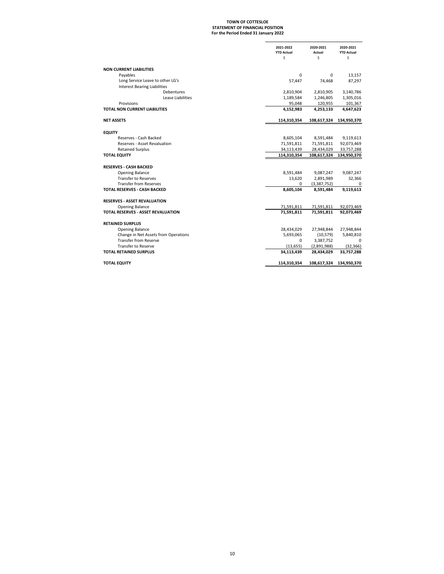### **For the Period Ended 31 January 2022 STATEMENT OF FINANCIAL POSITION TOWN OF COTTESLOE**

|                                           | 2021-2022<br><b>YTD Actual</b> | 2020-2021<br>Actual | 2020-2021<br><b>YTD Actual</b> |
|-------------------------------------------|--------------------------------|---------------------|--------------------------------|
|                                           | \$                             | Ś.                  | Ś                              |
|                                           |                                |                     |                                |
| <b>NON CURRENT LIABILITIES</b>            |                                |                     |                                |
| Payables                                  | $\Omega$                       | $\Omega$            | 13,157                         |
| Long Service Leave to other LG's          | 57,447                         | 74,468              | 87,297                         |
| <b>Interest Bearing Liabilities</b>       |                                |                     |                                |
| Debentures                                | 2,810,904                      | 2,810,905           | 3,140,786                      |
| Lease Liabilities                         | 1,189,584                      | 1,246,805           | 1,305,016                      |
| Provisions                                | 95,048                         | 120,955             | 101,367                        |
| TOTAL NON CURRENT LIABILITIES             | 4,152,983                      | 4,253,133           | 4,647,623                      |
| <b>NET ASSETS</b>                         | 114,310,354                    | 108,617,324         | 134,950,370                    |
| <b>EQUITY</b>                             |                                |                     |                                |
| Reserves - Cash Backed                    | 8,605,104                      | 8,591,484           | 9,119,613                      |
| <b>Reserves - Asset Revaluation</b>       | 71,591,811                     | 71,591,811          | 92,073,469                     |
| <b>Retained Surplus</b>                   | 34,113,439                     | 28,434,029          | 33,757,288                     |
| <b>TOTAL EQUITY</b>                       | 114,310,354                    | 108,617,324         | 134,950,370                    |
|                                           |                                |                     |                                |
| <b>RESERVES - CASH BACKED</b>             |                                |                     |                                |
| Opening Balance                           | 8,591,484                      | 9,087,247           | 9,087,247                      |
| <b>Transfer to Reserves</b>               | 13,620                         | 2,891,989           | 32,366                         |
| <b>Transfer from Reserves</b>             | 0                              | (3,387,752)         | 0                              |
| <b>TOTAL RESERVES - CASH BACKED</b>       | 8,605,104                      | 8,591,484           | 9,119,613                      |
| <b>RESERVES - ASSET REVALUATION</b>       |                                |                     |                                |
| <b>Opening Balance</b>                    | 71,591,811                     | 71,591,811          | 92,073,469                     |
| <b>TOTAL RESERVES - ASSET REVALUATION</b> | 71,591,811                     | 71,591,811          | 92,073,469                     |
| <b>RETAINED SURPLUS</b>                   |                                |                     |                                |
| <b>Opening Balance</b>                    | 28,434,029                     | 27,948,844          | 27,948,844                     |
| Change in Net Assets from Operations      | 5,693,065                      | (10, 579)           | 5,840,810                      |
| <b>Transfer from Reserve</b>              | 0                              | 3,387,752           | 0                              |
| <b>Transfer to Reserve</b>                | (13, 655)                      | (2,891,988)         | (32, 366)                      |
| <b>TOTAL RETAINED SURPLUS</b>             | 34,113,439                     | 28,434,029          | 33,757,288                     |
| <b>TOTAL EQUITY</b>                       | 114,310,354                    | 108,617,324         | 134,950,370                    |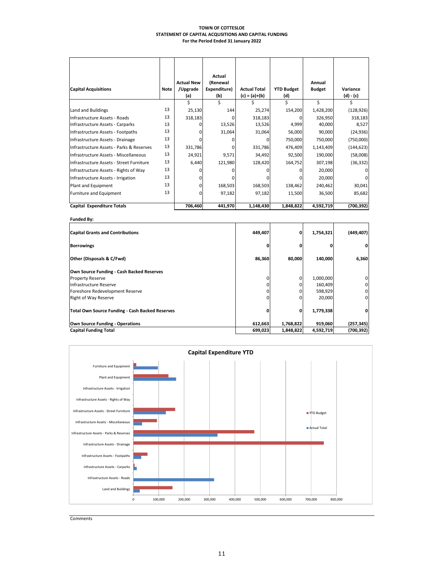#### **TOWN OF COTTESLOE STATEMENT OF CAPITAL ACQUSITIONS AND CAPITAL FUNDING For the Period Ended 31 January 2022**

|                                          |             |                   | Actual       |                     |                   |               |            |
|------------------------------------------|-------------|-------------------|--------------|---------------------|-------------------|---------------|------------|
|                                          |             | <b>Actual New</b> | (Renewal     |                     |                   | Annual        |            |
| <b>Capital Acquisitions</b>              | <b>Note</b> | /Upgrade          | Expenditure) | <b>Actual Total</b> | <b>YTD Budget</b> | <b>Budget</b> | Variance   |
|                                          |             | (a)               | (b)          | $(c) = (a)+(b)$     | (d)               |               | (d) - (c)  |
|                                          |             | Ś.                |              |                     |                   | Ś             |            |
| Land and Buildings                       | 13          | 25,130            | 144          | 25,274              | 154,200           | 1,428,200     | (128, 926) |
| Infrastructure Assets - Roads            | 13          | 318,183           |              | 318,183             |                   | 326,950       | 318,183    |
| Infrastructure Assets - Carparks         | 13          |                   | 13,526       | 13,526              | 4,999             | 40,000        | 8,527      |
| Infrastructure Assets - Footpaths        | 13          |                   | 31,064       | 31,064              | 56,000            | 90,000        | (24, 936)  |
| Infrastructure Assets - Drainage         | 13          |                   |              | 0                   | 750,000           | 750,000       | (750,000)  |
| Infrastructure Assets - Parks & Reserves | 13          | 331,786           |              | 331,786             | 476,409           | 1,143,409     | (144, 623) |
| Infrastructure Assets - Miscellaneous    | 13          | 24,921            | 9,571        | 34,492              | 92,500            | 190,000       | (58,008)   |
| Infrastructure Assets - Street Furniture | 13          | 6,440             | 121,980      | 128,420             | 164,752           | 307,198       | (36, 332)  |
| Infrastructure Assets - Rights of Way    | 13          |                   |              |                     |                   | 20,000        |            |
| Infrastructure Assets - Irrigation       | 13          |                   |              |                     |                   | 20,000        | U          |
| Plant and Equipment                      | 13          |                   | 168,503      | 168,503             | 138,462           | 240,462       | 30,041     |
| Furniture and Equipment                  | 13          |                   | 97,182       | 97,182              | 11,500            | 36,500        | 85,682     |
| Capital Expenditure Totals               |             | 706,460           | 441,970      | 1,148,430           | 1,848,822         | 4,592,719     | (700,392)  |

**Funded By:**

| <b>Capital Grants and Contributions</b>         | 449,407 | 0         | 1,754,321 | (449, 407) |
|-------------------------------------------------|---------|-----------|-----------|------------|
| <b>Borrowings</b>                               |         |           |           |            |
| Other (Disposals & C/Fwd)                       | 86,360  | 80,000    | 140,000   | 6,360      |
| Own Source Funding - Cash Backed Reserves       |         |           |           |            |
| <b>Property Reserve</b>                         |         |           | 1,000,000 |            |
| Infrastructure Reserve                          |         |           | 160,409   |            |
| Foreshore Redevelopment Reserve                 |         |           | 598,929   |            |
| <b>Right of Way Reserve</b>                     |         |           | 20,000    |            |
| Total Own Source Funding - Cash Backed Reserves |         | 0         | 1,779,338 |            |
| Own Source Funding - Operations                 | 612,663 | 1,768,822 | 919,060   | (257, 345) |
| <b>Capital Funding Total</b>                    | 699,023 | 1,848,822 | 4,592,719 | (700, 392) |



**Comments**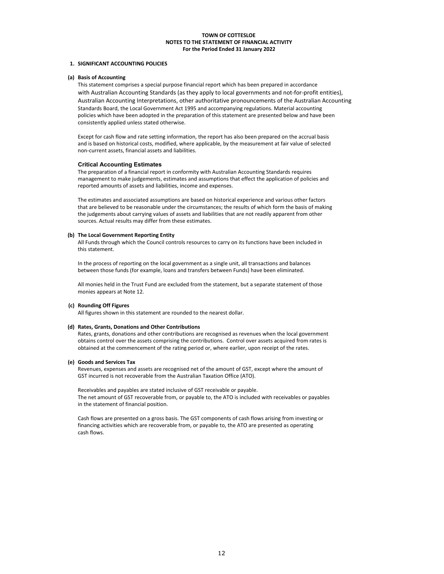#### **1. SIGNIFICANT ACCOUNTING POLICIES**

#### **(a) Basis of Accounting**

This statement comprises a special purpose financial report which has been prepared in accordance with Australian Accounting Standards (as they apply to local governments and not-for-profit entities), Australian Accounting Interpretations, other authoritative pronouncements of the Australian Accounting Standards Board, the Local Government Act 1995 and accompanying regulations. Material accounting policies which have been adopted in the preparation of this statement are presented below and have been consistently applied unless stated otherwise.

Except for cash flow and rate setting information, the report has also been prepared on the accrual basis and is based on historical costs, modified, where applicable, by the measurement at fair value of selected non‐current assets, financial assets and liabilities.

#### **Critical Accounting Estimates**

The preparation of a financial report in conformity with Australian Accounting Standards requires management to make judgements, estimates and assumptions that effect the application of policies and reported amounts of assets and liabilities, income and expenses.

The estimates and associated assumptions are based on historical experience and various other factors that are believed to be reasonable under the circumstances; the results of which form the basis of making the judgements about carrying values of assets and liabilities that are not readily apparent from other sources. Actual results may differ from these estimates.

#### **(b) The Local Government Reporting Entity**

All Funds through which the Council controls resources to carry on its functions have been included in this statement.

In the process of reporting on the local government as a single unit, all transactions and balances between those funds (for example, loans and transfers between Funds) have been eliminated.

All monies held in the Trust Fund are excluded from the statement, but a separate statement of those monies appears at Note 12.

#### **(c) Rounding Off Figures**

All figures shown in this statement are rounded to the nearest dollar.

#### **(d) Rates, Grants, Donations and Other Contributions**

Rates, grants, donations and other contributions are recognised as revenues when the local government obtains control over the assets comprising the contributions. Control over assets acquired from rates is obtained at the commencement of the rating period or, where earlier, upon receipt of the rates.

#### **(e) Goods and Services Tax**

Revenues, expenses and assets are recognised net of the amount of GST, except where the amount of GST incurred is not recoverable from the Australian Taxation Office (ATO).

Receivables and payables are stated inclusive of GST receivable or payable. The net amount of GST recoverable from, or payable to, the ATO is included with receivables or payables in the statement of financial position.

Cash flows are presented on a gross basis. The GST components of cash flows arising from investing or financing activities which are recoverable from, or payable to, the ATO are presented as operating cash flows.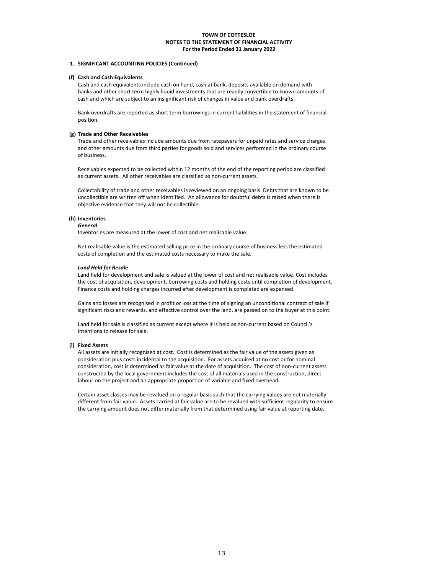#### **1. SIGNIFICANT ACCOUNTING POLICIES (Continued)**

#### **(f) Cash and Cash Equivalents**

Cash and cash equivalents include cash on hand, cash at bank, deposits available on demand with banks and other short term highly liquid investments that are readily convertible to known amounts of cash and which are subject to an insignificant risk of changes in value and bank overdrafts.

Bank overdrafts are reported as short term borrowings in current liabilities in the statement of financial position.

#### **(g) Trade and Other Receivables**

Trade and other receivables include amounts due from ratepayers for unpaid rates and service charges and other amounts due from third parties for goods sold and services performed in the ordinary course of business.

Receivables expected to be collected within 12 months of the end of the reporting period are classified as current assets. All other receivables are classified as non‐current assets.

Collectability of trade and other receivables is reviewed on an ongoing basis. Debts that are known to be uncollectible are written off when identified. An allowance for doubtful debts is raised when there is objective evidence that they will not be collectible.

#### **(h) Inventories**

#### *General*

Inventories are measured at the lower of cost and net realisable value.

Net realisable value is the estimated selling price in the ordinary course of business less the estimated costs of completion and the estimated costs necessary to make the sale.

#### *Land Held for Resale*

Land held for development and sale is valued at the lower of cost and net realisable value. Cost includes the cost of acquisition, development, borrowing costs and holding costs until completion of development. Finance costs and holding charges incurred after development is completed are expensed.

Gains and losses are recognised in profit or loss at the time of signing an unconditional contract of sale if significant risks and rewards, and effective control over the land, are passed on to the buyer at this point.

Land held for sale is classified as current except where it is held as non-current based on Council's intentions to release for sale.

#### **(i) Fixed Assets**

All assets are initially recognised at cost. Cost is determined as the fair value of the assets given as consideration plus costs incidental to the acquisition. For assets acquired at no cost or for nominal consideration, cost is determined as fair value at the date of acquisition. The cost of non‐current assets constructed by the local government includes the cost of all materials used in the construction, direct labour on the project and an appropriate proportion of variable and fixed overhead.

Certain asset classes may be revalued on a regular basis such that the carrying values are not materially different from fair value. Assets carried at fair value are to be revalued with sufficient regularity to ensure the carrying amount does not differ materially from that determined using fair value at reporting date.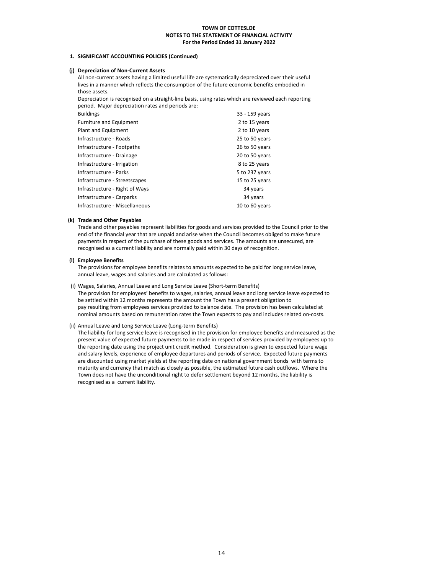#### **1. SIGNIFICANT ACCOUNTING POLICIES (Continued)**

#### **(j) Depreciation of Non‐Current Assets**

All non-current assets having a limited useful life are systematically depreciated over their useful lives in a manner which reflects the consumption of the future economic benefits embodied in those assets.

Depreciation is recognised on a straight-line basis, using rates which are reviewed each reporting period. Major depreciation rates and periods are:

| 33 - 159 years |
|----------------|
| 2 to 15 years  |
| 2 to 10 years  |
| 25 to 50 years |
| 26 to 50 years |
| 20 to 50 years |
| 8 to 25 years  |
| 5 to 237 years |
| 15 to 25 years |
| 34 years       |
| 34 years       |
| 10 to 60 years |
|                |

#### **(k) Trade and Other Payables**

Trade and other payables represent liabilities for goods and services provided to the Council prior to the end of the financial year that are unpaid and arise when the Council becomes obliged to make future payments in respect of the purchase of these goods and services. The amounts are unsecured, are recognised as a current liability and are normally paid within 30 days of recognition.

#### **(l) Employee Benefits**

The provisions for employee benefits relates to amounts expected to be paid for long service leave, annual leave, wages and salaries and are calculated as follows:

- (i) Wages, Salaries, Annual Leave and Long Service Leave (Short‐term Benefits) The provision for employees' benefits to wages, salaries, annual leave and long service leave expected to be settled within 12 months represents the amount the Town has a present obligation to pay resulting from employees services provided to balance date. The provision has been calculated at nominal amounts based on remuneration rates the Town expects to pay and includes related on‐costs.
- (ii) Annual Leave and Long Service Leave (Long‐term Benefits)

The liability for long service leave is recognised in the provision for employee benefits and measured as the present value of expected future payments to be made in respect of services provided by employees up to the reporting date using the project unit credit method. Consideration is given to expected future wage and salary levels, experience of employee departures and periods of service. Expected future payments are discounted using market yields at the reporting date on national government bonds with terms to maturity and currency that match as closely as possible, the estimated future cash outflows. Where the Town does not have the unconditional right to defer settlement beyond 12 months, the liability is recognised as a current liability.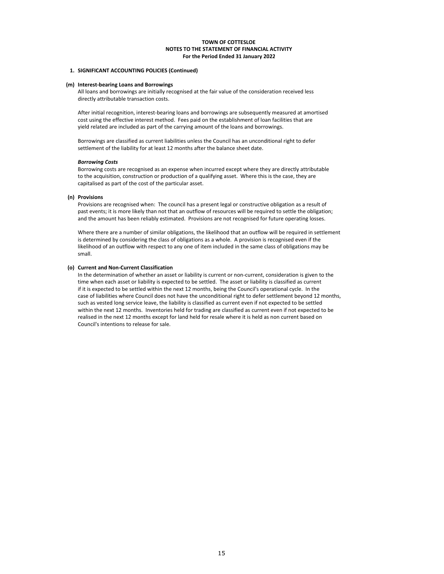#### **1. SIGNIFICANT ACCOUNTING POLICIES (Continued)**

#### **(m) Interest‐bearing Loans and Borrowings**

All loans and borrowings are initially recognised at the fair value of the consideration received less directly attributable transaction costs.

After initial recognition, interest‐bearing loans and borrowings are subsequently measured at amortised cost using the effective interest method. Fees paid on the establishment of loan facilities that are yield related are included as part of the carrying amount of the loans and borrowings.

Borrowings are classified as current liabilities unless the Council has an unconditional right to defer settlement of the liability for at least 12 months after the balance sheet date.

#### *Borrowing Costs*

Borrowing costs are recognised as an expense when incurred except where they are directly attributable to the acquisition, construction or production of a qualifying asset. Where this is the case, they are capitalised as part of the cost of the particular asset.

#### **(n) Provisions**

Provisions are recognised when: The council has a present legal or constructive obligation as a result of past events; it is more likely than not that an outflow of resources will be required to settle the obligation; and the amount has been reliably estimated. Provisions are not recognised for future operating losses.

Where there are a number of similar obligations, the likelihood that an outflow will be required in settlement is determined by considering the class of obligations as a whole. A provision is recognised even if the likelihood of an outflow with respect to any one of item included in the same class of obligations may be small.

#### **(o) Current and Non‐Current Classification**

In the determination of whether an asset or liability is current or non-current, consideration is given to the time when each asset or liability is expected to be settled. The asset or liability is classified as current if it is expected to be settled within the next 12 months, being the Council's operational cycle. In the case of liabilities where Council does not have the unconditional right to defer settlement beyond 12 months, such as vested long service leave, the liability is classified as current even if not expected to be settled within the next 12 months. Inventories held for trading are classified as current even if not expected to be realised in the next 12 months except for land held for resale where it is held as non current based on Council's intentions to release for sale.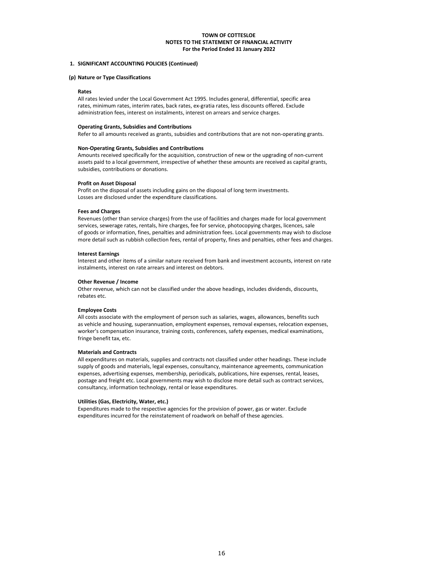#### **For the Period Ended 31 January 2022 TOWN OF COTTESLOE NOTES TO THE STATEMENT OF FINANCIAL ACTIVITY**

#### **1. SIGNIFICANT ACCOUNTING POLICIES (Continued)**

#### **(p) Nature or Type Classifications**

#### **Rates**

All rates levied under the Local Government Act 1995. Includes general, differential, specific area rates, minimum rates, interim rates, back rates, ex-gratia rates, less discounts offered. Exclude administration fees, interest on instalments, interest on arrears and service charges.

#### **Operating Grants, Subsidies and Contributions**

Refer to all amounts received as grants, subsidies and contributions that are not non-operating grants.

#### **Non‐Operating Grants, Subsidies and Contributions**

Amounts received specifically for the acquisition, construction of new or the upgrading of non‐current assets paid to a local government, irrespective of whether these amounts are received as capital grants, subsidies, contributions or donations.

#### **Profit on Asset Disposal**

Profit on the disposal of assets including gains on the disposal of long term investments. Losses are disclosed under the expenditure classifications.

#### **Fees and Charges**

Revenues (other than service charges) from the use of facilities and charges made for local government services, sewerage rates, rentals, hire charges, fee for service, photocopying charges, licences, sale of goods or information, fines, penalties and administration fees. Local governments may wish to disclose more detail such as rubbish collection fees, rental of property, fines and penalties, other fees and charges.

#### **Interest Earnings**

Interest and other items of a similar nature received from bank and investment accounts, interest on rate instalments, interest on rate arrears and interest on debtors.

#### **Other Revenue / Income**

Other revenue, which can not be classified under the above headings, includes dividends, discounts, rebates etc.

#### **Employee Costs**

All costs associate with the employment of person such as salaries, wages, allowances, benefits such as vehicle and housing, superannuation, employment expenses, removal expenses, relocation expenses, worker's compensation insurance, training costs, conferences, safety expenses, medical examinations, fringe benefit tax, etc.

#### **Materials and Contracts**

All expenditures on materials, supplies and contracts not classified under other headings. These include supply of goods and materials, legal expenses, consultancy, maintenance agreements, communication expenses, advertising expenses, membership, periodicals, publications, hire expenses, rental, leases, postage and freight etc. Local governments may wish to disclose more detail such as contract services, consultancy, information technology, rental or lease expenditures.

#### **Utilities (Gas, Electricity, Water, etc.)**

Expenditures made to the respective agencies for the provision of power, gas or water. Exclude expenditures incurred for the reinstatement of roadwork on behalf of these agencies.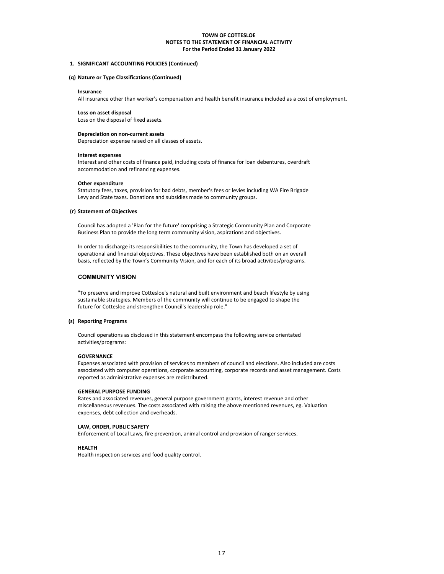#### **1. SIGNIFICANT ACCOUNTING POLICIES (Continued)**

#### **(q) Nature or Type Classifications (Continued)**

#### **Insurance**

All insurance other than worker's compensation and health benefit insurance included as a cost of employment.

#### **Loss on asset disposal**

Loss on the disposal of fixed assets.

#### **Depreciation on non‐current assets**

Depreciation expense raised on all classes of assets.

#### **Interest expenses**

Interest and other costs of finance paid, including costs of finance for loan debentures, overdraft accommodation and refinancing expenses.

#### **Other expenditure**

Statutory fees, taxes, provision for bad debts, member's fees or levies including WA Fire Brigade Levy and State taxes. Donations and subsidies made to community groups.

#### **(r) Statement of Objectives**

Council has adopted a 'Plan for the future' comprising a Strategic Community Plan and Corporate Business Plan to provide the long term community vision, aspirations and objectives.

operational and financial objectives. These objectives have been established both on an overall basis, reflected by the Town's Community Vision, and for each of its broad activities/programs. In order to discharge its responsibilities to the community, the Town has developed a set of

#### **COMMUNITY VISION**

sustainable strategies. Members of the community will continue to be engaged to shape the "To preserve and improve Cottesloe's natural and built environment and beach lifestyle by using future for Cottesloe and strengthen Council's leadership role."

#### **(s) Reporting Programs**

Council operations as disclosed in this statement encompass the following service orientated activities/programs:

#### **GOVERNANCE**

Expenses associated with provision of services to members of council and elections. Also included are costs associated with computer operations, corporate accounting, corporate records and asset management. Costs reported as administrative expenses are redistributed.

#### **GENERAL PURPOSE FUNDING**

Rates and associated revenues, general purpose government grants, interest revenue and other miscellaneous revenues. The costs associated with raising the above mentioned revenues, eg. Valuation expenses, debt collection and overheads.

#### **LAW, ORDER, PUBLIC SAFETY**

Enforcement of Local Laws, fire prevention, animal control and provision of ranger services.

#### **HEALTH**

Health inspection services and food quality control.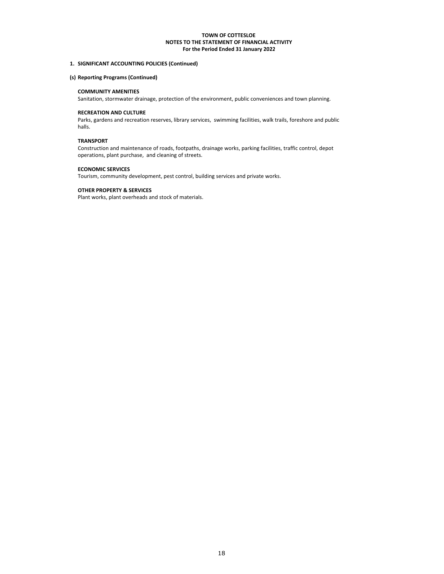#### **1. SIGNIFICANT ACCOUNTING POLICIES (Continued)**

#### **(s) Reporting Programs (Continued)**

#### **COMMUNITY AMENITIES**

Sanitation, stormwater drainage, protection of the environment, public conveniences and town planning.

#### **RECREATION AND CULTURE**

Parks, gardens and recreation reserves, library services, swimming facilities, walk trails, foreshore and public halls.

#### **TRANSPORT**

Construction and maintenance of roads, footpaths, drainage works, parking facilities, traffic control, depot operations, plant purchase, and cleaning of streets.

#### **ECONOMIC SERVICES**

Tourism, community development, pest control, building services and private works.

#### **OTHER PROPERTY & SERVICES**

Plant works, plant overheads and stock of materials.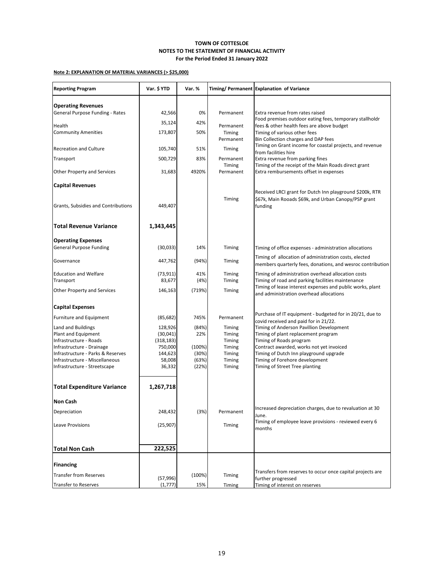### **Note 2: EXPLANATION OF MATERIAL VARIANCES (> \$25,000)**

| <b>Reporting Program</b>            | Var. \$ YTD | Var. % |                     | Timing/ Permanent Explanation of Variance                                                            |
|-------------------------------------|-------------|--------|---------------------|------------------------------------------------------------------------------------------------------|
| <b>Operating Revenues</b>           |             |        |                     |                                                                                                      |
| General Purpose Funding - Rates     | 42,566      | 0%     | Permanent           | Extra revenue from rates raised                                                                      |
|                                     | 35,124      | 42%    |                     | Food premises outdoor eating fees, temporary stallholdr                                              |
| Health                              |             |        | Permanent           | fees & other health fees are above budget                                                            |
| <b>Community Amenities</b>          | 173,807     | 50%    | Timing<br>Permanent | Timing of various other fees<br>Bin Collection charges and DAP fees                                  |
|                                     |             |        |                     | Timing on Grant income for coastal projects, and revenue                                             |
| <b>Recreation and Culture</b>       | 105,740     | 51%    | Timing              | from facilities hire                                                                                 |
| Transport                           | 500,729     | 83%    | Permanent           | Extra revenue from parking fines                                                                     |
| Other Property and Services         | 31,683      | 4920%  | Timing<br>Permanent | Timing of the receipt of the Main Roads direct grant<br>Extra rembursements offset in expenses       |
| <b>Capital Revenues</b>             |             |        |                     |                                                                                                      |
|                                     |             |        |                     | Received LRCI grant for Dutch Inn playground \$200k, RTR                                             |
| Grants, Subsidies and Contributions | 449,407     |        | Timing              | \$67k, Main Rooads \$69k, and Urban Canopy/PSP grant<br>funding                                      |
| <b>Total Revenue Variance</b>       | 1,343,445   |        |                     |                                                                                                      |
| <b>Operating Expenses</b>           |             |        |                     |                                                                                                      |
| <b>General Purpose Funding</b>      | (30,033)    | 14%    | Timing              | Timing of office expenses - administration allocations                                               |
| Governance                          | 447,762     | (94%)  | Timing              | Timing of allocation of administration costs, elected                                                |
|                                     |             |        |                     | members quarterly fees, donations, and wesroc contribution                                           |
| <b>Education and Welfare</b>        | (73, 911)   | 41%    | Timing              | Timing of administration overhead allocation costs                                                   |
| Transport                           | 83,677      | (4%)   | Timing              | Timing of road and parking facilities maintenance                                                    |
| Other Property and Services         | 146,163     | (719%) | Timing              | Timing of lease interest expenses and public works, plant<br>and administration overhead allocations |
| <b>Capital Expenses</b>             |             |        |                     |                                                                                                      |
| Furniture and Equipment             | (85, 682)   | 745%   | Permanent           | Purchase of IT equipment - budgeted for in 20/21, due to<br>covid received and paid for in 21/22.    |
| Land and Buildings                  | 128,926     | (84%)  | Timing              | Timing of Anderson Pavillion Development                                                             |
| Plant and Equipment                 | (30,041)    | 22%    | Timing              | Timing of plant replacement program                                                                  |
| Infrastructure - Roads              | (318, 183)  |        | Timing              | Timing of Roads program                                                                              |
| Infrastructure - Drainage           | 750,000     | (100%) | Timing              | Contract awarded, works not yet invoiced                                                             |
| Infrastructure - Parks & Reserves   | 144,623     | (30%)  | Timing              | Timing of Dutch Inn playground upgrade                                                               |
| Infrastructure - Miscellaneous      | 58,008      | (63%)  | Timing              | Timing of Forehore development                                                                       |
| Infrastructure - Streetscape        | 36,332      | (22%)  | Timing              | Timing of Street Tree planting                                                                       |
| <b>Total Expenditure Variance</b>   | 1,267,718   |        |                     |                                                                                                      |
| <b>Non Cash</b>                     |             |        |                     |                                                                                                      |
| Depreciation                        | 248,432     | (3%)   | Permanent           | Increased depreciation charges, due to revaluation at 30<br>June.                                    |
| Leave Provisions                    | (25, 907)   |        | Timing              | Timing of employee leave provisions - reviewed every 6                                               |
|                                     |             |        |                     | months                                                                                               |
| <b>Total Non Cash</b>               | 222,525     |        |                     |                                                                                                      |
|                                     |             |        |                     |                                                                                                      |
| <b>Financing</b>                    |             |        |                     |                                                                                                      |
| <b>Transfer from Reserves</b>       | (57,996)    | (100%) | Timing              | Transfers from reserves to occur once capital projects are<br>further progressed                     |
| Transfer to Reserves                | (1,777)     | 15%    | Timing              | Timing of interest on reserves                                                                       |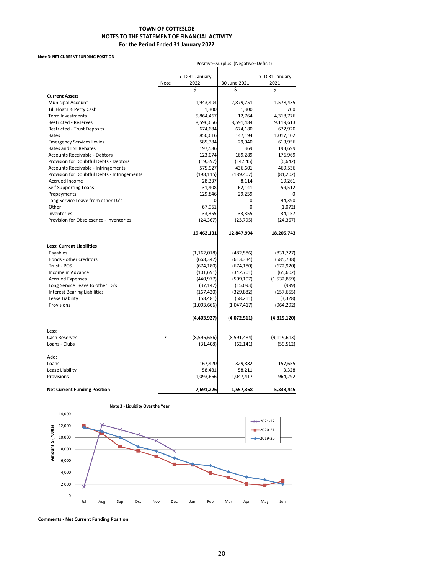#### **Note 3: NET CURRENT FUNDING POSITION**

|                                              |                | Positive=Surplus (Negative=Deficit) |              |                |  |
|----------------------------------------------|----------------|-------------------------------------|--------------|----------------|--|
|                                              |                |                                     |              |                |  |
|                                              |                | YTD 31 January                      |              | YTD 31 January |  |
|                                              | Note           | 2022                                | 30 June 2021 | 2021           |  |
|                                              |                | \$                                  | \$           | \$             |  |
| <b>Current Assets</b>                        |                |                                     |              |                |  |
| <b>Municipal Account</b>                     |                | 1,943,404                           | 2,879,751    | 1,578,435      |  |
| Till Floats & Petty Cash                     |                | 1,300                               | 1,300        | 700            |  |
| <b>Term Investments</b>                      |                | 5,864,467                           | 12,764       | 4,318,776      |  |
| <b>Restricted - Reserves</b>                 |                | 8,596,656                           | 8,591,484    | 9,119,613      |  |
| <b>Restricted - Trust Deposits</b>           |                | 674,684                             | 674,180      | 672,920        |  |
| Rates                                        |                | 850,616                             | 147,194      | 1,017,102      |  |
| <b>Emergency Services Levies</b>             |                | 585,384                             | 29,940       | 613,956        |  |
| Rates and ESL Rebates                        |                | 197,586                             | 369          | 193,699        |  |
| <b>Accounts Receivable - Debtors</b>         |                | 123,074                             | 169,289      | 176,969        |  |
| Provision for Doubtful Debts - Debtors       |                | (19, 392)                           | (14, 545)    | (6, 642)       |  |
| <b>Accounts Receivable - Infringements</b>   |                | 575,927                             | 436,601      | 469,536        |  |
| Provision for Doubtful Debts - Infringements |                | (198, 115)                          | (189, 407)   | (81, 202)      |  |
| <b>Accrued Income</b>                        |                | 28,337                              | 8,114        | 19,261         |  |
| Self Supporting Loans                        |                | 31,408                              | 62,141       | 59,512         |  |
| Prepayments                                  |                | 129,846                             | 29,259       |                |  |
| Long Service Leave from other LG's           |                | 0                                   | 0            | 44,390         |  |
| Other                                        |                | 67,961                              | 0            | (1,072)        |  |
| Inventories                                  |                | 33,355                              | 33,355       | 34,157         |  |
| Provision for Obsolesence - Inventories      |                | (24, 367)                           | (23, 795)    | (24, 367)      |  |
|                                              |                | 19,462,131                          | 12,847,994   | 18,205,743     |  |
| <b>Less: Current Liabilities</b>             |                |                                     |              |                |  |
| Payables                                     |                | (1, 162, 018)                       | (482, 586)   | (831, 727)     |  |
| Bonds - other creditors                      |                | (668, 347)                          | (613, 334)   | (585, 738)     |  |
| Trust - POS                                  |                | (674, 180)                          | (674, 180)   | (672, 920)     |  |
| Income in Advance                            |                | (101, 691)                          | (342,701)    | (65, 602)      |  |
| <b>Accrued Expenses</b>                      |                | (440, 977)                          | (509, 107)   | (1,532,859)    |  |
| Long Service Leave to other LG's             |                | (37, 147)                           | (15,093)     | (999)          |  |
| <b>Interest Bearing Liabilities</b>          |                | (167, 420)                          | (329, 882)   | (157, 655)     |  |
| Lease Liability                              |                | (58, 481)                           | (58, 211)    | (3,328)        |  |
| Provisions                                   |                | (1,093,666)                         | (1,047,417)  | (964, 292)     |  |
|                                              |                | (4,403,927)                         | (4,072,511)  | (4, 815, 120)  |  |
| Less:                                        |                |                                     |              |                |  |
| Cash Reserves                                | $\overline{7}$ | (8,596,656)                         | (8,591,484)  | (9, 119, 613)  |  |
| Loans - Clubs                                |                | (31, 408)                           | (62, 141)    | (59, 512)      |  |
|                                              |                |                                     |              |                |  |
| Add:                                         |                |                                     |              |                |  |
| Loans                                        |                | 167,420                             | 329,882      | 157,655        |  |
| Lease Liability                              |                | 58,481                              | 58,211       | 3,328          |  |
| Provisions                                   |                | 1,093,666                           | 1,047,417    | 964,292        |  |
| <b>Net Current Funding Position</b>          |                | 7,691,226                           | 1,557,368    | 5,333,445      |  |



**Comments ‐ Net Current Funding Position**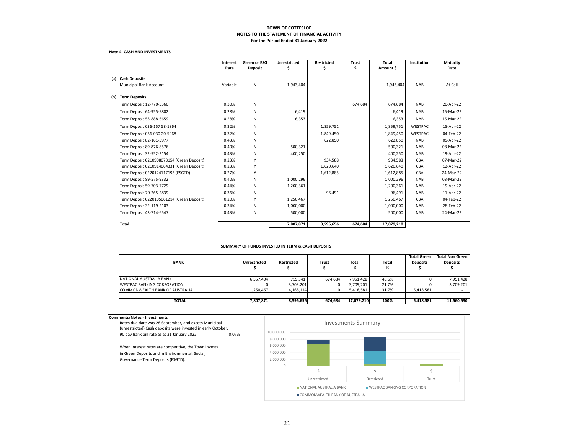#### **Note 4: CASH AND INVESTMENTS**

|     |                                            |          | <b>Green or ESG</b> | <b>Unrestricted</b> | Restricted | <b>Trust</b> | <b>Total</b> | Institution    | Maturity  |
|-----|--------------------------------------------|----------|---------------------|---------------------|------------|--------------|--------------|----------------|-----------|
|     |                                            | Rate     | <b>Deposit</b>      |                     | \$         | \$.          | Amount \$    |                | Date      |
| (a) | <b>Cash Deposits</b>                       |          |                     |                     |            |              |              |                |           |
|     | Municipal Bank Account                     | Variable | N                   | 1,943,404           |            |              | 1,943,404    | <b>NAB</b>     | At Call   |
|     |                                            |          |                     |                     |            |              |              |                |           |
| (b) | <b>Term Deposits</b>                       |          |                     |                     |            |              |              |                |           |
|     | Term Deposit 12-770-3360                   | 0.30%    | N                   |                     |            | 674,684      | 674,684      | <b>NAB</b>     | 20-Apr-22 |
|     | Term Deposit 64-955-9802                   | 0.28%    | N                   | 6,419               |            |              | 6,419        | <b>NAB</b>     | 15-Mar-22 |
|     | Term Deposit 53-888-6659                   | 0.28%    | N                   | 6,353               |            |              | 6,353        | <b>NAB</b>     | 15-Mar-22 |
|     | Term Deposit 036-157 58-1864               | 0.32%    | N                   |                     | 1,859,751  |              | 1,859,751    | <b>WESTPAC</b> | 15-Apr-22 |
|     | Term Deposit 036-030 20-5968               | 0.32%    | N                   |                     | 1,849,450  |              | 1,849,450    | <b>WESTPAC</b> | 04-Feb-22 |
|     | Term Deposit 82-161-5977                   | 0.43%    | N                   |                     | 622,850    |              | 622,850      | <b>NAB</b>     | 05-Apr-22 |
|     | Term Deposit 89-876-8576                   | 0.40%    | N                   | 500,321             |            |              | 500,321      | <b>NAB</b>     | 08-Mar-22 |
|     | Term Deposit 32-952-2154                   | 0.43%    | N                   | 400,250             |            |              | 400,250      | <b>NAB</b>     | 19-Apr-22 |
|     | Term Deposit 0210908078154 (Green Deposit) | 0.23%    | Y                   |                     | 934,588    |              | 934,588      | CBA            | 07-Mar-22 |
|     | Term Deposit 0210914064331 (Green Deposit) | 0.23%    | Y                   |                     | 1,620,640  |              | 1,620,640    | CBA            | 12-Apr-22 |
|     | Term Deposit 0220124117193 (ESGTD)         | 0.27%    | Y                   |                     | 1,612,885  |              | 1,612,885    | CBA            | 24-May-22 |
|     | Term Deposit 89-575-9332                   | 0.40%    | N                   | 1,000,296           |            |              | 1,000,296    | <b>NAB</b>     | 03-Mar-22 |
|     | Term Deposit 59-703-7729                   | 0.44%    | N                   | 1,200,361           |            |              | 1,200,361    | <b>NAB</b>     | 19-Apr-22 |
|     | Term Deposit 70-265-2839                   | 0.36%    | N                   |                     | 96.491     |              | 96.491       | <b>NAB</b>     | 11-Apr-22 |
|     | Term Deposit 0220105061214 (Green Deposit) | 0.20%    | Y                   | 1,250,467           |            |              | 1,250,467    | CBA            | 04-Feb-22 |
|     | Term Deposit 32-119-2103                   | 0.34%    | N                   | 1,000,000           |            |              | 1,000,000    | <b>NAB</b>     | 28-Feb-22 |
|     | Term Deposit 43-714-6547                   | 0.43%    | N                   | 500,000             |            |              | 500,000      | <b>NAB</b>     | 24-Mar-22 |
|     |                                            |          |                     |                     |            |              |              |                |           |
|     | <b>Total</b>                               |          |                     | 7,807,871           | 8,596,656  | 674,684      | 17,079,210   |                |           |

#### **SUMMARY OF FUNDS INVESTED IN TERM & CASH DEPOSITS**

|                                    |                     |            |              |              |       | <b>Total Green</b> | <b>Total Non Green</b> |
|------------------------------------|---------------------|------------|--------------|--------------|-------|--------------------|------------------------|
| <b>BANK</b>                        | <b>Unrestricted</b> | Restricted | <b>Trust</b> | <b>Total</b> | Total | <b>Deposits</b>    | <b>Deposits</b>        |
|                                    |                     |            |              |              | %     |                    |                        |
|                                    |                     |            |              |              |       |                    |                        |
| NATIONAL AUSTRALIA BANK            | 6.557.404           | 719.341    | 674,684      | 7,951,428    | 46.6% |                    | 7,951,428              |
| <b>WESTPAC BANKING CORPORATION</b> |                     | 3,709,201  |              | 3,709,201    | 21.7% |                    | 3,709,201              |
| COMMONWEALTH BANK OF AUSTRALIA     | 1,250,467           | 4,168,114  |              | 5,418,581    | 31.7% | 5,418,581          |                        |
|                                    |                     |            |              |              |       |                    |                        |
| <b>TOTAL</b>                       | 7,807,871           | 8,596,656  | 674,684      | 17,079,210   | 100%  | 5,418,581          | 11,660,630             |

#### **Comments/Notes ‐ Investments**

| Rates due date was 28 September, and excess Municipal<br>(unrestricted) Cash deposits were invested in early October.                         |  |  |  |  |  |  |  |
|-----------------------------------------------------------------------------------------------------------------------------------------------|--|--|--|--|--|--|--|
| 90 day Bank bill rate as at 31 January 2022<br>0.07%                                                                                          |  |  |  |  |  |  |  |
| When interest rates are competitive, the Town invests<br>in Green Deposits and in Environmental, Social,<br>Governance Term Deposits (ESGTD). |  |  |  |  |  |  |  |

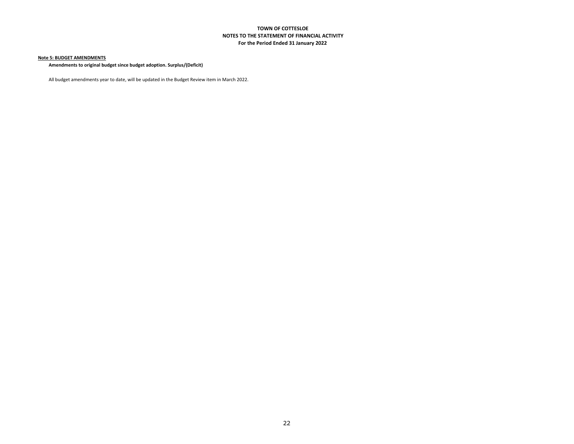#### **Note 5: BUDGET AMENDMENTS**

**Amendments to original budget since budget adoption. Surplus/(Deficit)**

All budget amendments year to date, will be updated in the Budget Review item in March 2022.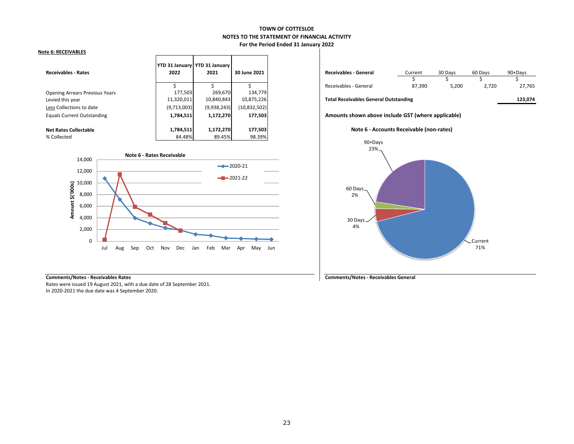#### **Note 6: RECEIVABLES**

| <b>Receivables - Rates</b>            | 2022        | YTD 31 January   YTD 31 January<br>2021 | 30 June 2021   |  |  |
|---------------------------------------|-------------|-----------------------------------------|----------------|--|--|
|                                       |             |                                         |                |  |  |
| <b>Opening Arrears Previous Years</b> | 177,503     | 269,670                                 | 134,779        |  |  |
| Levied this year                      | 11,320,011  | 10,840,843                              | 10,875,226     |  |  |
| Less Collections to date              | (9,713,003) | (9,938,243)                             | (10, 832, 502) |  |  |
| <b>Equals Current Outstanding</b>     | 1,784,511   | 1,172,270                               | 177,503        |  |  |
|                                       |             |                                         |                |  |  |
| <b>Net Rates Collectable</b>          | 1,784,511   | 1,172,270                               | 177,503        |  |  |
| % Collected                           | 84.48%      | 89.45%                                  | 98.39%         |  |  |



|  | <b>Comments/Notes - Receivables Rates</b> |  |
|--|-------------------------------------------|--|
|  |                                           |  |

Rates were issued 19 August 2021, with <sup>a</sup> due date of 28 September 2021. In 2020‐2021 the due date was 4 September 2020.

| 2021    | 30 June 2021 | <b>Receivables - General</b> | Current | 30 Days | 60 Davs | 90+Davs |
|---------|--------------|------------------------------|---------|---------|---------|---------|
|         |              |                              |         |         |         |         |
|         |              | Receivables - General        | 87,390  | 5,200   | 2,720   |         |
| 269.670 | 134.779      |                              |         |         |         |         |

#### this year 11,320,011 10,840,843 10,875,226 **Total Receivables General Outstanding 123,074**

Equals Current Outstanding **1,784,511 1,172,270 177,503 Amounts shown above include GST (where applicable)**





**Comments/Notes ‐ Receivables Rates Comments/Notes ‐ Receivables General**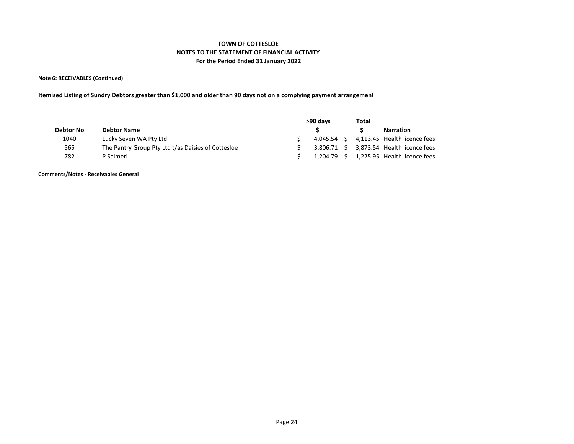#### **Note 6: RECEIVABLES (Continued)**

Itemised Listing of Sundry Debtors greater than \$1,000 and older than 90 days not on a complying payment arrangement

|           |                                                    | >90 days | Total |                                          |
|-----------|----------------------------------------------------|----------|-------|------------------------------------------|
| Debtor No | <b>Debtor Name</b>                                 |          |       | <b>Narration</b>                         |
| 1040      | Lucky Seven WA Pty Ltd                             |          |       | 4,045.54 \$ 4,113.45 Health licence fees |
| 565       | The Pantry Group Pty Ltd t/as Daisies of Cottesloe |          |       | 3,806.71 \$ 3,873.54 Health licence fees |
| 782       | P Salmeri                                          |          |       | 1,204.79 \$ 1,225.95 Health licence fees |

**Comments/Notes ‐ Receivables General**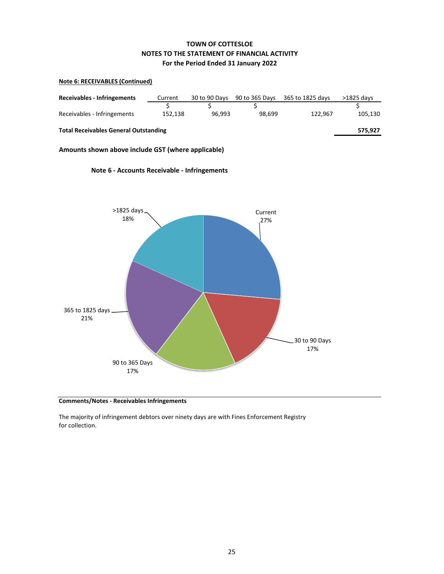### **Note 6: RECEIVABLES (Continued)**

| <b>Receivables - Infringements</b>           | Current | 30 to 90 Days | 90 to 365 Days | 365 to 1825 days | $>1825$ davs |  |  |  |  |  |  |
|----------------------------------------------|---------|---------------|----------------|------------------|--------------|--|--|--|--|--|--|
|                                              |         |               |                |                  |              |  |  |  |  |  |  |
| Receivables - Infringements                  | 152.138 | 96.993        | 98.699         | 122.967          | 105,130      |  |  |  |  |  |  |
|                                              |         |               |                |                  |              |  |  |  |  |  |  |
| <b>Total Receivables General Outstanding</b> |         |               |                |                  |              |  |  |  |  |  |  |
|                                              |         |               |                |                  |              |  |  |  |  |  |  |

**Amounts shown above include GST (where applicable)**



### **Note 6 ‐ Accounts Receivable ‐ Infringements**

**Comments/Notes ‐ Receivables Infringements**

The majority of infringement debtors over ninety days are with Fines Enforcement Registry for collection.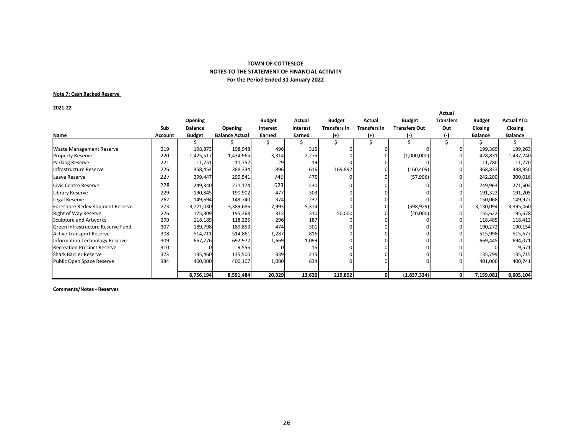#### **Note 7: Cash Backed Reserve**

**2021‐22**

| 2021-22                            |                |                |                       |                 |                 |                     |                     |                      | Actual           |                |                   |
|------------------------------------|----------------|----------------|-----------------------|-----------------|-----------------|---------------------|---------------------|----------------------|------------------|----------------|-------------------|
|                                    |                | Opening        |                       | <b>Budget</b>   | Actual          | <b>Budget</b>       | Actual              | <b>Budget</b>        | <b>Transfers</b> | <b>Budget</b>  | <b>Actual YTD</b> |
|                                    | Sub            | <b>Balance</b> | <b>Opening</b>        | <b>Interest</b> | <b>Interest</b> | <b>Transfers In</b> | <b>Transfers In</b> | <b>Transfers Out</b> | Out              | Closing        | <b>Closing</b>    |
| Name                               | <b>Account</b> | <b>Budget</b>  | <b>Balance Actual</b> | Earned          | Earned          | (+)                 | $^{(+)}$            | $(-)$                | (-)              | <b>Balance</b> | <b>Balance</b>    |
|                                    |                |                |                       |                 |                 |                     |                     |                      |                  |                |                   |
| <b>Waste Management Reserve</b>    | 219            | 198,873        | 198,948               | 496             | 315             |                     | 0                   |                      |                  | 199,369        | 199,263           |
| <b>Property Reserve</b>            | 220            | 1,425,517      | 1,434,965             | 3,314           | 2,275           |                     |                     | (1,000,000)          |                  | 428,831        | 1,437,240         |
| Parking Reserve                    | 221            | 11,751         | 11,752                | 29              | 19              |                     |                     |                      |                  | 11,780         | 11,770            |
| Infrastructure Reserve             | 226            | 358,454        | 388,334               | 896             | 616             | 169,892             |                     | (160, 409)           |                  | 368,833        | 388,950           |
| Leave Reserve                      | 227            | 299,447        | 299,541               | 749             | 475             |                     |                     | (57, 996)            |                  | 242,200        | 300,016           |
| <b>Civic Centre Reserve</b>        | 228            | 249,340        | 271,174               | 623             | 430             |                     |                     |                      |                  | 249,963        | 271,604           |
| Library Reserve                    | 229            | 190,845        | 190,902               | 477             | 303             |                     |                     |                      |                  | 191,322        | 191,205           |
| Legal Reserve                      | 262            | 149,694        | 149,740               | 374             | 237             |                     |                     |                      |                  | 150,068        | 149,977           |
| Foreshore Redevelopment Reserve    | 273            | 3,721,030      | 3,389,686             | 7,993           | 5,374           |                     |                     | (598, 929)           |                  | 3,130,094      | 3,395,060         |
| <b>Right of Way Reserve</b>        | 276            | 125,309        | 195,368               | 313             | 310             | 50,000              |                     | (20,000)             |                  | 155,622        | 195,678           |
| Sculpture and Artworks             | 299            | 118,189        | 118,225               | 296             | 187             |                     |                     |                      |                  | 118,485        | 118,412           |
| Green Infrastructure Reserve Fund  | 307            | 189,798        | 189,853               | 474             | 301             |                     |                     |                      |                  | 190,272        | 190,154           |
| <b>Active Transport Reserve</b>    | 308            | 514,711        | 514,861               | 1,287           | 816             |                     |                     |                      |                  | 515,998        | 515,677           |
| Information Technology Reserve     | 309            | 667,776        | 692,972               | 1,669           | 1,099           |                     |                     |                      |                  | 669,445        | 694,071           |
| <b>Recreation Precinct Reserve</b> | 310            |                | 9,556                 |                 | 15              |                     |                     |                      |                  |                | 9,571             |
| <b>Shark Barrier Reserve</b>       | 323            | 135,460        | 135,500               | 339             | 215             |                     |                     |                      |                  | 135,799        | 135,715           |
| Public Open Space Reserve          | 384            | 400,000        | 400,107               | 1,000           | 634             |                     |                     |                      |                  | 401,000        | 400,741           |
|                                    |                |                |                       |                 |                 |                     |                     |                      | 0                |                |                   |
|                                    |                | 8,756,194      | 8,591,484             | 20,329          | 13,620          | 219,892             | 0                   | (1,837,334)          |                  | 7,159,081      | 8,605,104         |

**Comments/Notes ‐ Reserves**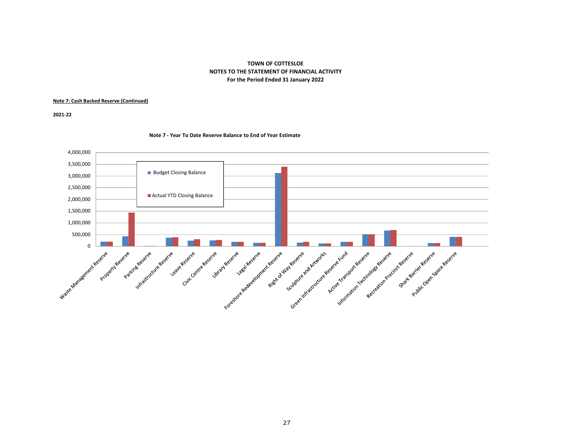#### **Note 7: Cash Backed Reserve (Continued)**

**2021‐22**

#### **Note 7 ‐ Year To Date Reserve Balance to End of Year Estimate**

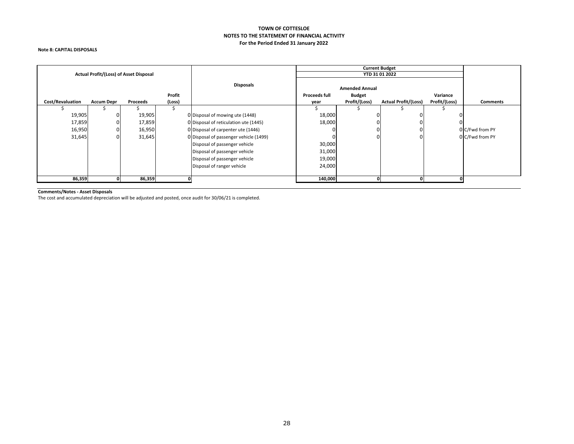#### **Note 8: CAPITAL DISPOSALS**

|                                                                       |   | Actual Profit/(Loss) of Asset Disposal |                      |                                        |          | <b>Current Budget</b> | YTD 31 01 2022              |               |                 |
|-----------------------------------------------------------------------|---|----------------------------------------|----------------------|----------------------------------------|----------|-----------------------|-----------------------------|---------------|-----------------|
| Profit<br>(Loss)<br>Cost/Revaluation<br><b>Accum Depr</b><br>Proceeds |   | <b>Disposals</b>                       | <b>Proceeds full</b> | <b>Amended Annual</b><br><b>Budget</b> | Variance |                       |                             |               |                 |
|                                                                       |   |                                        |                      |                                        | year     | Profit/(Loss)         | <b>Actual Profit/(Loss)</b> | Profit/(Loss) | <b>Comments</b> |
| 19,905                                                                | 0 | 19,905                                 |                      | 0 Disposal of mowing ute (1448)        | 18,000   |                       |                             |               |                 |
| 17,859                                                                | 0 | 17,859                                 |                      | 0 Disposal of reticulation ute (1445)  | 18,000   |                       |                             |               |                 |
| 16,950                                                                |   | 16,950                                 |                      | 0 Disposal of carpenter ute (1446)     |          |                       |                             |               | 0 C/Fwd from PY |
| 31,645                                                                | 0 | 31,645                                 |                      | 0 Disposal of passenger vehicle (1499) |          | 0.                    |                             |               | 0 C/Fwd from PY |
|                                                                       |   |                                        |                      | Disposal of passenger vehicle          | 30,000   |                       |                             |               |                 |
|                                                                       |   |                                        |                      | Disposal of passenger vehicle          | 31,000   |                       |                             |               |                 |
|                                                                       |   |                                        |                      | Disposal of passenger vehicle          | 19,000   |                       |                             |               |                 |
|                                                                       |   | Disposal of ranger vehicle             | 24,000               |                                        |          |                       |                             |               |                 |
|                                                                       |   |                                        |                      |                                        |          |                       |                             |               |                 |
| 86,359                                                                |   | 86,359                                 |                      |                                        | 140,000  |                       |                             |               |                 |

**Comments/Notes ‐ Asset Disposals** The cost and accumulated depreciation will be adjusted and posted, once audit for 30/06/21 is completed.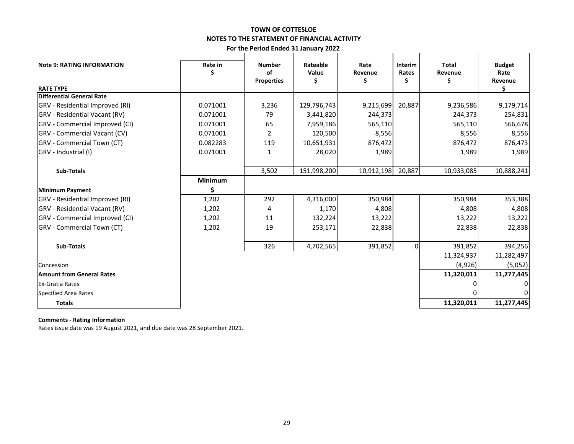### **TOWN OF COTTESLOE NOTES TO THE STATEMENT OF FINANCIAL ACTIVITY**

**For the Period Ended 31 January 2022**

| <b>Note 9: RATING INFORMATION</b><br><b>RATE TYPE</b> | Rate in  | <b>Number</b><br>οf<br><b>Properties</b> | Rateable<br>Value<br>Ş | Rate<br>Revenue<br>\$ | <b>Interim</b><br>Rates<br>S | Total<br>Revenue<br>১ | <b>Budget</b><br>Rate<br>Revenue<br>\$. |
|-------------------------------------------------------|----------|------------------------------------------|------------------------|-----------------------|------------------------------|-----------------------|-----------------------------------------|
| Differential General Rate                             |          |                                          |                        |                       |                              |                       |                                         |
| GRV - Residential Improved (RI)                       | 0.071001 | 3,236                                    | 129,796,743            | 9,215,699             | 20,887                       | 9,236,586             | 9,179,714                               |
| <b>GRV</b> - Residential Vacant (RV)                  | 0.071001 | 79                                       | 3,441,820              | 244,373               |                              | 244,373               | 254,831                                 |
| <b>GRV</b> - Commercial Improved (CI)                 | 0.071001 | 65                                       | 7,959,186              | 565,110               |                              | 565,110               | 566,678                                 |
| <b>GRV</b> - Commercial Vacant (CV)                   | 0.071001 | $\overline{2}$                           | 120,500                | 8,556                 |                              | 8,556                 | 8,556                                   |
| GRV - Commercial Town (CT)                            | 0.082283 | 119                                      | 10,651,931             | 876,472               |                              | 876,472               | 876,473                                 |
| GRV - Industrial (I)                                  | 0.071001 | 1                                        | 28,020                 | 1,989                 |                              | 1,989                 | 1,989                                   |
| Sub-Totals                                            |          | 3,502                                    | 151,998,200            | 10,912,198            | 20,887                       | 10,933,085            | 10,888,241                              |
|                                                       | Minimum  |                                          |                        |                       |                              |                       |                                         |
| <b>Minimum Payment</b>                                | \$.      |                                          |                        |                       |                              |                       |                                         |
| GRV - Residential Improved (RI)                       | 1,202    | 292                                      | 4,316,000              | 350,984               |                              | 350,984               | 353,388                                 |
| <b>GRV</b> - Residential Vacant (RV)                  | 1,202    | 4                                        | 1,170                  | 4,808                 |                              | 4,808                 | 4,808                                   |
| GRV - Commercial Improved (CI)                        | 1,202    | 11                                       | 132,224                | 13,222                |                              | 13,222                | 13,222                                  |
| GRV - Commercial Town (CT)                            | 1,202    | 19                                       | 253,171                | 22,838                |                              | 22,838                | 22,838                                  |
| Sub-Totals                                            |          | 326                                      | 4,702,565              | 391,852               | $\overline{0}$               | 391,852               | 394,256                                 |
|                                                       |          |                                          |                        |                       |                              | 11,324,937            | 11,282,497                              |
| Concession                                            |          |                                          |                        |                       |                              | (4,926)               | (5,052)                                 |
| Amount from General Rates                             |          |                                          |                        |                       |                              | 11,320,011            | 11,277,445                              |
| <b>Ex-Gratia Rates</b>                                |          |                                          |                        |                       |                              |                       |                                         |
| <b>Specified Area Rates</b>                           |          |                                          |                        |                       |                              |                       |                                         |
| <b>Totals</b>                                         |          |                                          |                        |                       |                              | 11,320,011            | 11,277,445                              |

**Comments ‐ Rating Information**

Rates issue date was 19 August 2021, and due date was 28 September 2021.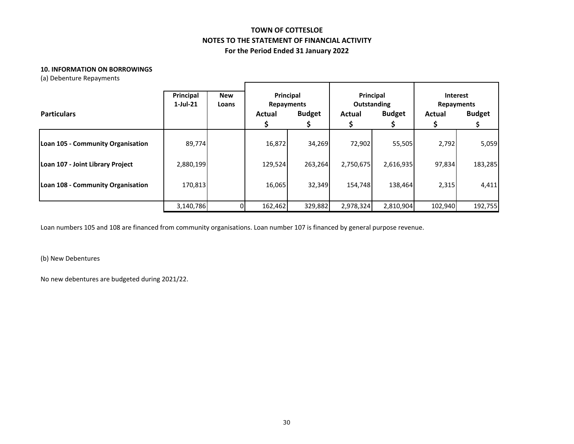#### **10. INFORMATION ON BORROWINGS**

(a) Debenture Repayments

| <b>Particulars</b>                | Principal<br>$1$ -Jul-21 | <b>New</b><br>Loans | <b>Repayments</b><br>Actual | Principal<br><b>Budget</b> | Principal<br>Outstanding<br><b>Budget</b><br>Actual |           | Interest<br><b>Repayments</b><br>Actual | <b>Budget</b> |
|-----------------------------------|--------------------------|---------------------|-----------------------------|----------------------------|-----------------------------------------------------|-----------|-----------------------------------------|---------------|
| Loan 105 - Community Organisation | 89,774                   |                     | 16,872                      | 34,269                     | 72,902                                              | 55,505    | 2,792                                   | 5,059         |
| Loan 107 - Joint Library Project  | 2,880,199                |                     | 129,524                     | 263,264                    | 2,750,675                                           | 2,616,935 | 97,834                                  | 183,285       |
| Loan 108 - Community Organisation | 170.813                  |                     | 16,065                      | 32,349                     | 154.748                                             | 138,464   | 2,315                                   | 4,411         |
|                                   | 3,140,786                |                     | 162,462                     | 329,882                    | 2,978,324                                           | 2,810,904 | 102,940                                 | 192,755       |

Loan numbers 105 and 108 are financed from community organisations. Loan number 107 is financed by general purpose revenue.

(b) New Debentures

No new debentures are budgeted during 2021/22.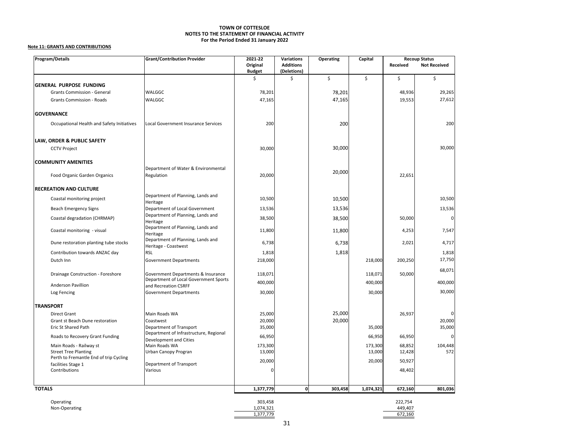#### **Note 11: GRANTS AND CONTRIBUTIONS**

| Program/Details                                                       | <b>Grant/Contribution Provider</b>                            | 2021-22<br><b>Variations</b> |                                 | Operating | Capital   | <b>Recoup Status</b> |                     |
|-----------------------------------------------------------------------|---------------------------------------------------------------|------------------------------|---------------------------------|-----------|-----------|----------------------|---------------------|
|                                                                       |                                                               | Original<br><b>Budget</b>    | <b>Additions</b><br>(Deletions) |           |           | Received             | <b>Not Received</b> |
| <b>GENERAL PURPOSE FUNDING</b>                                        |                                                               | \$                           | \$                              | \$        | \$        | \$                   | \$                  |
| Grants Commission - General                                           | WALGGC                                                        | 78,201                       |                                 | 78,201    |           | 48,936               | 29,265              |
| <b>Grants Commission - Roads</b>                                      | WALGGC                                                        | 47,165                       |                                 | 47,165    |           |                      | 27,612              |
|                                                                       |                                                               |                              |                                 |           |           | 19,553               |                     |
| <b>GOVERNANCE</b>                                                     |                                                               |                              |                                 |           |           |                      |                     |
| Occupational Health and Safety Initiatives                            | Local Government Insurance Services                           | 200                          |                                 | 200       |           |                      | 200                 |
| LAW, ORDER & PUBLIC SAFETY                                            |                                                               |                              |                                 |           |           |                      |                     |
| <b>CCTV Project</b>                                                   |                                                               | 30,000                       |                                 | 30,000    |           |                      | 30,000              |
| <b>COMMUNITY AMENITIES</b>                                            |                                                               |                              |                                 |           |           |                      |                     |
| Food Organic Garden Organics                                          | Department of Water & Environmental<br>Regulation             | 20,000                       |                                 | 20,000    |           | 22,651               |                     |
|                                                                       |                                                               |                              |                                 |           |           |                      |                     |
| <b>RECREATION AND CULTURE</b>                                         |                                                               |                              |                                 |           |           |                      |                     |
| Coastal monitoring project                                            | Department of Planning, Lands and<br>Heritage                 | 10,500                       |                                 | 10,500    |           |                      | 10,500              |
| <b>Beach Emergency Signs</b>                                          | Department of Local Government                                | 13,536                       |                                 | 13,536    |           |                      | 13,536              |
| Coastal degradation (CHRMAP)                                          | Department of Planning, Lands and<br>Heritage                 | 38,500                       |                                 | 38,500    |           | 50,000               | 0                   |
| Coastal monitoring - visual                                           | Department of Planning, Lands and<br>Heritage                 | 11,800                       |                                 | 11,800    |           | 4,253                | 7,547               |
| Dune restoration planting tube stocks                                 | Department of Planning, Lands and<br>Heritage - Coastwest     | 6,738                        |                                 | 6,738     |           | 2,021                | 4,717               |
| Contribution towards ANZAC day                                        | <b>RSL</b>                                                    | 1,818                        |                                 | 1,818     |           |                      | 1,818               |
| Dutch Inn                                                             | <b>Government Departments</b>                                 | 218,000                      |                                 |           | 218,000   | 200,250              | 17,750              |
| Drainage Construction - Foreshore                                     | Government Departments & Insurance                            | 118,071                      |                                 |           | 118,071   | 50,000               | 68,071              |
| <b>Anderson Pavillion</b>                                             | Department of Local Government Sports<br>and Recreation CSRFF | 400,000                      |                                 |           | 400,000   |                      | 400,000             |
| Log Fencing                                                           | <b>Government Departments</b>                                 | 30,000                       |                                 |           | 30,000    |                      | 30,000              |
|                                                                       |                                                               |                              |                                 |           |           |                      |                     |
| <b>TRANSPORT</b>                                                      |                                                               |                              |                                 | 25,000    |           |                      |                     |
| Direct Grant<br>Grant st Beach Dune restoration                       | Main Roads WA<br>Coastwest                                    | 25,000<br>20,000             |                                 | 20,000    |           | 26,937               | 20,000              |
| Eric St Shared Path                                                   | Department of Transport                                       | 35,000                       |                                 |           | 35,000    |                      | 35,000              |
|                                                                       | Department of Infrastructure, Regional                        |                              |                                 |           |           |                      |                     |
| Roads to Recovery Grant Funding                                       | Development and Cities                                        | 66,950                       |                                 |           | 66,950    | 66,950               | $\Omega$            |
| Main Roads - Railway st                                               | Main Roads WA                                                 | 173,300                      |                                 |           | 173,300   | 68,852               | 104,448             |
| <b>Street Tree Planting</b><br>Perth to Fremantle End of trip Cycling | Urban Canopy Progran                                          | 13,000                       |                                 |           | 13,000    | 12,428               | 572                 |
| facilities Stage 1                                                    | Department of Transport                                       | 20,000                       |                                 |           | 20,000    | 50,927               |                     |
| Contributions                                                         | Various                                                       | $\Omega$                     |                                 |           |           | 48,402               |                     |
|                                                                       |                                                               |                              |                                 |           |           |                      |                     |
| <b>TOTALS</b>                                                         |                                                               | 1,377,779                    | $\mathbf 0$                     | 303,458   | 1,074,321 | 672,160              | 801,036             |
| Operating                                                             |                                                               | 303,458                      |                                 |           |           | 222,754              |                     |
| Non-Operating                                                         |                                                               | 1,074,321                    |                                 |           |           | 449,407              |                     |
|                                                                       |                                                               | 1,377,779                    |                                 |           |           | 672,160              |                     |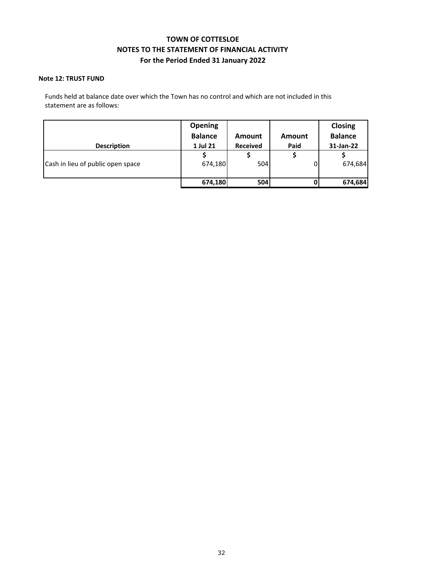### **Note 12: TRUST FUND**

Funds held at balance date over which the Town has no control and which are not included in this statement are as follows:

|                                   | <b>Opening</b><br><b>Balance</b> | Amount          | Amount | <b>Closing</b><br><b>Balance</b> |
|-----------------------------------|----------------------------------|-----------------|--------|----------------------------------|
| <b>Description</b>                | 1 Jul 21                         | <b>Received</b> | Paid   | 31-Jan-22                        |
|                                   |                                  |                 |        |                                  |
| Cash in lieu of public open space | 674,180                          | 504             | 0      | 674,684                          |
|                                   |                                  |                 |        |                                  |
|                                   | 674,180                          | 504             |        | 674,684                          |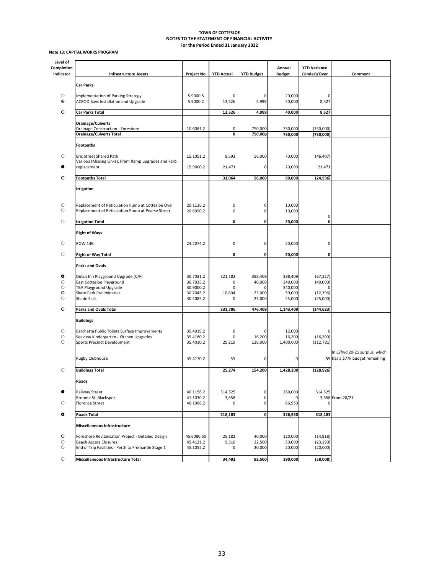#### **Note 13: CAPITAL WORKS PROGRAM**

| Level of                |                                                                                                         |                        | Annual            |                    |                     |                                     |                                                                  |
|-------------------------|---------------------------------------------------------------------------------------------------------|------------------------|-------------------|--------------------|---------------------|-------------------------------------|------------------------------------------------------------------|
| Completion<br>Indicator | <b>Infrastructure Assets</b>                                                                            | <b>Project No</b>      | <b>YTD Actual</b> | <b>YTD Budget</b>  | <b>Budget</b>       | <b>YTD Variance</b><br>(Under)/Over | Comment                                                          |
|                         | <b>Car Parks</b>                                                                                        |                        |                   |                    |                     |                                     |                                                                  |
|                         |                                                                                                         |                        |                   |                    |                     |                                     |                                                                  |
| О<br>$\odot$            | Implementation of Parking Strategy<br>ACROD Bays Installation and Upgrade                               | 5.9000.5<br>5.9000.2   | 0<br>13,526       | 0<br>4,999         | 20,000<br>20,000    | Ω<br>8,527                          |                                                                  |
|                         |                                                                                                         |                        |                   |                    |                     |                                     |                                                                  |
| O                       | <b>Car Parks Total</b>                                                                                  |                        | 13,526            | 4,999              | 40,000              | 8,527                               |                                                                  |
|                         | <b>Drainage/Culverts</b>                                                                                |                        |                   |                    |                     |                                     |                                                                  |
|                         | Drainage Construction - Foreshore<br><b>Drainage/Culverts Total</b>                                     | 10.6081.2              | 0<br>$\mathbf 0$  | 750,000<br>750,000 | 750,000<br>750,000  | (750,000)<br>(750,000)              |                                                                  |
|                         |                                                                                                         |                        |                   |                    |                     |                                     |                                                                  |
|                         | <b>Footpaths</b>                                                                                        |                        |                   |                    |                     |                                     |                                                                  |
| О                       | <b>Eric Street Shared Path</b>                                                                          | 15.1051.2              | 9,593             | 56,000             | 70,000              | (46, 407)                           |                                                                  |
|                         | Various (Missing Links), Pram Ramp upgrades and kerb<br>replacement                                     | 15.9000.2              | 21,471            | 0                  | 20,000              | 21,471                              |                                                                  |
|                         |                                                                                                         |                        |                   |                    |                     |                                     |                                                                  |
| O                       | <b>Footpaths Total</b>                                                                                  |                        | 31,064            | 56,000             | 90,000              | (24, 936)                           |                                                                  |
|                         | Irrigation                                                                                              |                        |                   |                    |                     |                                     |                                                                  |
|                         |                                                                                                         |                        |                   |                    |                     |                                     |                                                                  |
| О<br>O                  | Replacement of Reticulation Pump at Cottesloe Oval<br>Replacement of Reticulation Pump at Pearse Street | 20.1136.2<br>20.6090.2 | 0<br>0            | 0<br>0             | 10,000<br>10,000    |                                     |                                                                  |
|                         |                                                                                                         |                        |                   |                    |                     | 0                                   |                                                                  |
| $\circ$                 | <b>Irrigation Total</b>                                                                                 |                        | $\mathbf{0}$      | 0                  | 20,000              | O                                   |                                                                  |
|                         | <b>Right of Ways</b>                                                                                    |                        |                   |                    |                     |                                     |                                                                  |
| O                       | ROW 14B                                                                                                 | 24.2074.2              | 0                 | 0                  | 20,000              | 0                                   |                                                                  |
|                         |                                                                                                         |                        |                   |                    |                     |                                     |                                                                  |
| $\circ$                 | <b>Right of Way Total</b>                                                                               |                        | 0                 | $\mathbf{0}$       | 20,000              | 0                                   |                                                                  |
|                         | <b>Parks and Ovals</b>                                                                                  |                        |                   |                    |                     |                                     |                                                                  |
| ۰                       | Dutch Inn Playground Upgrade (C/F)                                                                      | 30.7031.2              | 321,182           | 388,409            | 388,409             | (67, 227)                           |                                                                  |
| O                       | East Cottesloe Playground                                                                               | 30.7035.2              | $\mathbf 0$       | 40,000             | 340,000             | (40,000)                            |                                                                  |
| О<br>O                  | TBA Playground Upgrade<br>Skate Park Preliminaries                                                      | 30.9000.2<br>30.7045.2 | 0<br>10,604       | 0<br>23,000        | 340,000<br>50,000   | 0<br>(12, 396)                      |                                                                  |
| O                       | Shade Sails                                                                                             | 30.4085.2              |                   | 25,000             | 25,000              | (25,000)                            |                                                                  |
| O                       | Parks and Ovals Total                                                                                   |                        | 331,786           | 476,409            | 1,143,409           | (144, 623)                          |                                                                  |
|                         |                                                                                                         |                        |                   |                    |                     |                                     |                                                                  |
|                         | <b>Buildings</b>                                                                                        |                        |                   |                    |                     |                                     |                                                                  |
| О                       | Barchetta Public Toilets Surface Improvements                                                           | 35.4019.2              | 0                 | 0                  | 12,000              |                                     |                                                                  |
| О<br>O                  | Seaview Kindergarten - Kitchen Upgrades<br>Sports Precinct Development                                  | 35.4180.2<br>35.4010.2 | 0<br>25,219       | 16,200<br>138,000  | 16,200<br>1,400,000 | (16, 200)<br>(112, 781)             |                                                                  |
|                         |                                                                                                         |                        |                   |                    |                     |                                     |                                                                  |
|                         | Rugby Clubhouse                                                                                         | 35.4170.2              | 55                | 0                  | 0                   |                                     | In C/fwd 20-21 surplus, which<br>55 has a \$77k budget remaining |
|                         |                                                                                                         |                        |                   |                    |                     |                                     |                                                                  |
| $\circ$                 | <b>Buildings Total</b>                                                                                  |                        | 25,274            | 154,200            | 1,428,200           | (128, 926)                          |                                                                  |
|                         | Roads                                                                                                   |                        |                   |                    |                     |                                     |                                                                  |
| ●                       | Railway Street                                                                                          | 40.1156.2              | 314,525           | 0                  | 260,000             | 314,525                             |                                                                  |
|                         | Broome St Blackspot                                                                                     | 41.1030.2              | 3,658             | 0                  |                     |                                     | 3,658 From 20/21                                                 |
| О                       | <b>Florence Street</b>                                                                                  | 40.1066.2              | 0                 | 0                  | 66,950              |                                     |                                                                  |
| $\bullet$               | <b>Roads Total</b>                                                                                      |                        | 318,183           | $\pmb{\mathsf{o}}$ | 326,950             | 318,183                             |                                                                  |
|                         | Miscellaneous Infrastructure                                                                            |                        |                   |                    |                     |                                     |                                                                  |
| O                       | Foreshore Revitalisation Project - Detailed Design                                                      | 45.6080.50             | 25,182            | 40,000             | 120,000             | (14, 818)                           |                                                                  |
| О                       | <b>Beach Access Closures</b>                                                                            | 45.4131.2              | 9,310             | 32,500             | 50,000              | (23, 190)                           |                                                                  |
| О                       | End of Trip Facilities - Perth to Fremantle Stage 1                                                     | 45.1055.2              | $\mathbf 0$       | 20,000             | 20,000              | (20,000)                            |                                                                  |
| $\circlearrowright$     | Miscellaneous Infrastructure Total                                                                      |                        | 34,492            | 92,500             | 190,000             | (58,008)                            |                                                                  |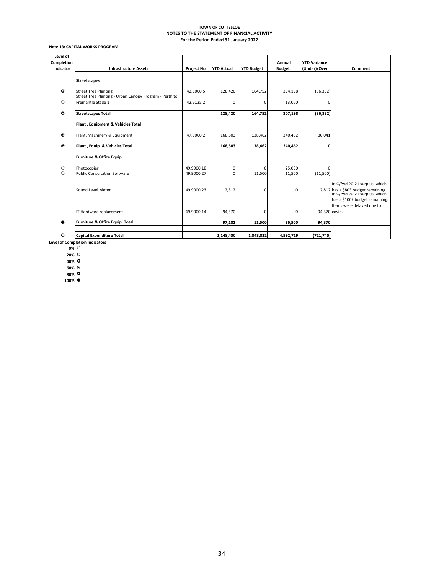#### **Note 13: CAPITAL WORKS PROGRAM**

| Level of   |                                                                                       |                   |                   |                   |               |                     |                                                                                                       |
|------------|---------------------------------------------------------------------------------------|-------------------|-------------------|-------------------|---------------|---------------------|-------------------------------------------------------------------------------------------------------|
| Completion |                                                                                       |                   |                   |                   | Annual        | <b>YTD Variance</b> |                                                                                                       |
| Indicator  | <b>Infrastructure Assets</b>                                                          | <b>Project No</b> | <b>YTD Actual</b> | <b>YTD Budget</b> | <b>Budget</b> | (Under)/Over        | Comment                                                                                               |
|            |                                                                                       |                   |                   |                   |               |                     |                                                                                                       |
|            | <b>Streetscapes</b>                                                                   |                   |                   |                   |               |                     |                                                                                                       |
| $\circ$    | <b>Street Tree Planting</b><br>Street Tree Planting - Urban Canopy Program - Perth to | 42.9000.5         | 128,420           | 164,752           | 294,198       | (36, 332)           |                                                                                                       |
| Ο          | Fremantle Stage 1                                                                     | 42.6125.2         | 0                 | $\mathbf 0$       | 13,000        | 0                   |                                                                                                       |
| $\bullet$  | <b>Streetscapes Total</b>                                                             |                   | 128,420           | 164,752           | 307,198       | (36, 332)           |                                                                                                       |
|            | Plant, Equipment & Vehicles Total                                                     |                   |                   |                   |               |                     |                                                                                                       |
| $\odot$    | Plant, Machinery & Equipment                                                          | 47.9000.2         | 168,503           | 138,462           | 240,462       | 30,041              |                                                                                                       |
| $\odot$    | Plant, Equip. & Vehicles Total                                                        |                   | 168,503           | 138,462           | 240,462       | O                   |                                                                                                       |
|            | Furniture & Office Equip.                                                             |                   |                   |                   |               |                     |                                                                                                       |
| O          | Photocopier                                                                           | 49.9000.18        | 0                 | $\mathbf 0$       | 25,000        | $\Omega$            |                                                                                                       |
| $\bigcirc$ | Public Consultation Software                                                          | 49.9000.27        | 0                 | 11,500            | 11,500        | (11,500)            |                                                                                                       |
|            | Sound Level Meter                                                                     | 49.9000.23        | 2,812             | $\Omega$          | $\Omega$      |                     | In C/fwd 20-21 surplus, which<br>2,812 has a \$803 budget remaining.<br>In C/twd 20-21 surplus, which |
|            |                                                                                       |                   |                   |                   |               |                     | has a \$100k budget remaining.                                                                        |
|            | IT Hardware replacement                                                               | 49.9000.14        | 94,370            | 0                 | C             | 94,370 covid.       | Items were delayed due to                                                                             |
|            | Furniture & Office Equip. Total                                                       |                   | 97,182            | 11,500            | 36,500        | 94,370              |                                                                                                       |
|            |                                                                                       |                   |                   |                   |               |                     |                                                                                                       |
| O          | <b>Capital Expenditure Total</b>                                                      |                   | 1,148,430         | 1,848,822         | 4,592,719     | (721, 745)          |                                                                                                       |

**Level of Completion Indicators 0%**

**20%**

**40% 60%**

**80%**

**100%**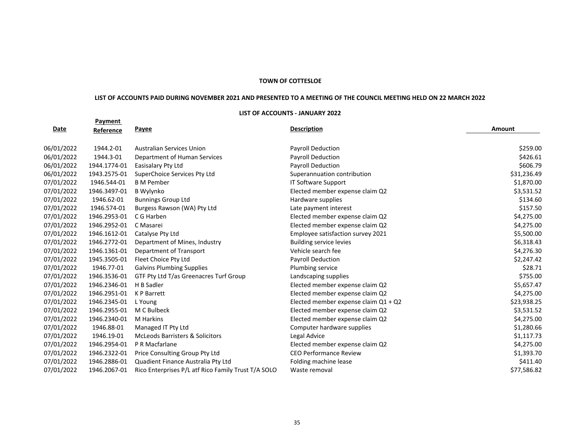#### **TOWN OF COTTESLOE**

#### LIST OF ACCOUNTS PAID DURING NOVEMBER 2021 AND PRESENTED TO A MEETING OF THE COUNCIL MEETING HELD ON 22 MARCH 2022

#### **LIST OF ACCOUNTS ‐ JANUARY 2022**

|             | Payment      |                                                     |                                      |             |
|-------------|--------------|-----------------------------------------------------|--------------------------------------|-------------|
| <u>Date</u> | Reference    | <b>Payee</b>                                        | <b>Description</b>                   | Amount      |
| 06/01/2022  | 1944.2-01    | <b>Australian Services Union</b>                    | <b>Payroll Deduction</b>             | \$259.00    |
| 06/01/2022  | 1944.3-01    | Department of Human Services                        | <b>Payroll Deduction</b>             | \$426.61    |
| 06/01/2022  | 1944.1774-01 | Easisalary Pty Ltd                                  | <b>Payroll Deduction</b>             | \$606.79    |
| 06/01/2022  | 1943.2575-01 | SuperChoice Services Pty Ltd                        | Superannuation contribution          | \$31,236.49 |
| 07/01/2022  | 1946.544-01  | <b>B</b> M Pember                                   | <b>IT Software Support</b>           | \$1,870.00  |
| 07/01/2022  | 1946.3497-01 | <b>B</b> Wylynko                                    | Elected member expense claim Q2      | \$3,531.52  |
| 07/01/2022  | 1946.62-01   | <b>Bunnings Group Ltd</b>                           | Hardware supplies                    | \$134.60    |
| 07/01/2022  | 1946.574-01  | Burgess Rawson (WA) Pty Ltd                         | Late payment interest                | \$157.50    |
| 07/01/2022  | 1946.2953-01 | C G Harben                                          | Elected member expense claim Q2      | \$4,275.00  |
| 07/01/2022  | 1946.2952-01 | C Masarei                                           | Elected member expense claim Q2      | \$4,275.00  |
| 07/01/2022  | 1946.1612-01 | Catalyse Pty Ltd                                    | Employee satisfaction survey 2021    | \$5,500.00  |
| 07/01/2022  | 1946.2772-01 | Department of Mines, Industry                       | <b>Building service levies</b>       | \$6,318.43  |
| 07/01/2022  | 1946.1361-01 | Department of Transport                             | Vehicle search fee                   | \$4,276.30  |
| 07/01/2022  | 1945.3505-01 | Fleet Choice Pty Ltd                                | Payroll Deduction                    | \$2,247.42  |
| 07/01/2022  | 1946.77-01   | <b>Galvins Plumbing Supplies</b>                    | Plumbing service                     | \$28.71     |
| 07/01/2022  | 1946.3536-01 | GTF Pty Ltd T/as Greenacres Turf Group              | Landscaping supplies                 | \$755.00    |
| 07/01/2022  | 1946.2346-01 | H B Sadler                                          | Elected member expense claim Q2      | \$5,657.47  |
| 07/01/2022  | 1946.2951-01 | K P Barrett                                         | Elected member expense claim Q2      | \$4,275.00  |
| 07/01/2022  | 1946.2345-01 | L Young                                             | Elected member expense claim Q1 + Q2 | \$23,938.25 |
| 07/01/2022  | 1946.2955-01 | M C Bulbeck                                         | Elected member expense claim Q2      | \$3,531.52  |
| 07/01/2022  | 1946.2340-01 | <b>M</b> Harkins                                    | Elected member expense claim Q2      | \$4,275.00  |
| 07/01/2022  | 1946.88-01   | Managed IT Pty Ltd                                  | Computer hardware supplies           | \$1,280.66  |
| 07/01/2022  | 1946.19-01   | <b>McLeods Barristers &amp; Solicitors</b>          | Legal Advice                         | \$1,117.73  |
| 07/01/2022  | 1946.2954-01 | P R Macfarlane                                      | Elected member expense claim Q2      | \$4,275.00  |
| 07/01/2022  | 1946.2322-01 | Price Consulting Group Pty Ltd                      | <b>CEO Performance Review</b>        | \$1,393.70  |
| 07/01/2022  | 1946.2886-01 | Quadient Finance Australia Pty Ltd                  | Folding machine lease                | \$411.40    |
| 07/01/2022  | 1946.2067-01 | Rico Enterprises P/L atf Rico Family Trust T/A SOLO | Waste removal                        | \$77,586.82 |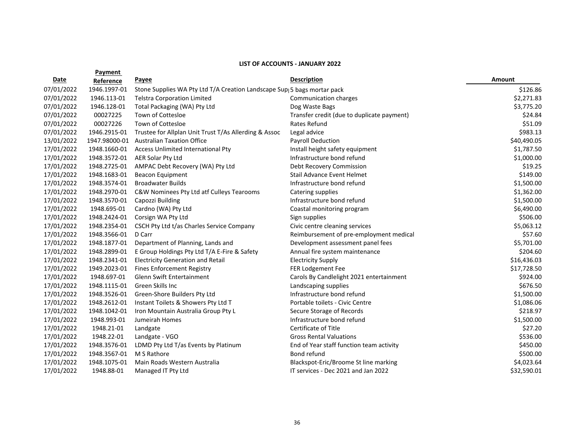|            | Payment       |                                                                         |                                            |             |
|------------|---------------|-------------------------------------------------------------------------|--------------------------------------------|-------------|
| Date       | Reference     | Payee                                                                   | <b>Description</b>                         | Amount      |
| 07/01/2022 | 1946.1997-01  | Stone Supplies WA Pty Ltd T/A Creation Landscape Sup 5 bags mortar pack |                                            | \$126.86    |
| 07/01/2022 | 1946.113-01   | <b>Telstra Corporation Limited</b>                                      | Communication charges                      | \$2,271.83  |
| 07/01/2022 | 1946.128-01   | Total Packaging (WA) Pty Ltd                                            | Dog Waste Bags                             | \$3,775.20  |
| 07/01/2022 | 00027225      | Town of Cottesloe                                                       | Transfer credit (due to duplicate payment) | \$24.84     |
| 07/01/2022 | 00027226      | <b>Town of Cottesloe</b>                                                | Rates Refund                               | \$51.09     |
| 07/01/2022 | 1946.2915-01  | Trustee for Allplan Unit Trust T/As Allerding & Assoc                   | Legal advice                               | \$983.13    |
| 13/01/2022 | 1947.98000-01 | <b>Australian Taxation Office</b>                                       | Payroll Deduction                          | \$40,490.05 |
| 17/01/2022 | 1948.1660-01  | Access Unlimited International Pty                                      | Install height safety equipment            | \$1,787.50  |
| 17/01/2022 | 1948.3572-01  | <b>AER Solar Pty Ltd</b>                                                | Infrastructure bond refund                 | \$1,000.00  |
| 17/01/2022 | 1948.2725-01  | AMPAC Debt Recovery (WA) Pty Ltd                                        | Debt Recovery Commission                   | \$19.25     |
| 17/01/2022 | 1948.1683-01  | <b>Beacon Equipment</b>                                                 | <b>Stail Advance Event Helmet</b>          | \$149.00    |
| 17/01/2022 | 1948.3574-01  | <b>Broadwater Builds</b>                                                | Infrastructure bond refund                 | \$1,500.00  |
| 17/01/2022 | 1948.2970-01  | C&W Nominees Pty Ltd atf Culleys Tearooms                               | Catering supplies                          | \$1,362.00  |
| 17/01/2022 | 1948.3570-01  | Capozzi Building                                                        | Infrastructure bond refund                 | \$1,500.00  |
| 17/01/2022 | 1948.695-01   | Cardno (WA) Pty Ltd                                                     | Coastal monitoring program                 | \$6,490.00  |
| 17/01/2022 | 1948.2424-01  | Corsign WA Pty Ltd                                                      | Sign supplies                              | \$506.00    |
| 17/01/2022 | 1948.2354-01  | CSCH Pty Ltd t/as Charles Service Company                               | Civic centre cleaning services             | \$5,063.12  |
| 17/01/2022 | 1948.3566-01  | D Carr                                                                  | Reimbursement of pre-employment medical    | \$57.60     |
| 17/01/2022 | 1948.1877-01  | Department of Planning, Lands and                                       | Development assessment panel fees          | \$5,701.00  |
| 17/01/2022 | 1948.2899-01  | E Group Holdings Pty Ltd T/A E-Fire & Safety                            | Annual fire system maintenance             | \$204.60    |
| 17/01/2022 | 1948.2341-01  | <b>Electricity Generation and Retail</b>                                | <b>Electricity Supply</b>                  | \$16,436.03 |
| 17/01/2022 | 1949.2023-01  | <b>Fines Enforcement Registry</b>                                       | FER Lodgement Fee                          | \$17,728.50 |
| 17/01/2022 | 1948.697-01   | Glenn Swift Entertainment                                               | Carols By Candlelight 2021 entertainment   | \$924.00    |
| 17/01/2022 | 1948.1115-01  | Green Skills Inc                                                        | Landscaping supplies                       | \$676.50    |
| 17/01/2022 | 1948.3526-01  | Green-Shore Builders Pty Ltd                                            | Infrastructure bond refund                 | \$1,500.00  |
| 17/01/2022 | 1948.2612-01  | Instant Toilets & Showers Pty Ltd T                                     | Portable toilets - Civic Centre            | \$1,086.06  |
| 17/01/2022 | 1948.1042-01  | Iron Mountain Australia Group Pty L                                     | Secure Storage of Records                  | \$218.97    |
| 17/01/2022 | 1948.993-01   | Jumeirah Homes                                                          | Infrastructure bond refund                 | \$1,500.00  |
| 17/01/2022 | 1948.21-01    | Landgate                                                                | Certificate of Title                       | \$27.20     |
| 17/01/2022 | 1948.22-01    | Landgate - VGO                                                          | <b>Gross Rental Valuations</b>             | \$536.00    |
| 17/01/2022 | 1948.3576-01  | LDMD Pty Ltd T/as Events by Platinum                                    | End of Year staff function team activity   | \$450.00    |
| 17/01/2022 | 1948.3567-01  | M S Rathore                                                             | Bond refund                                | \$500.00    |
| 17/01/2022 | 1948.1075-01  | Main Roads Western Australia                                            | Blackspot-Eric/Broome St line marking      | \$4,023.64  |
| 17/01/2022 | 1948.88-01    | Managed IT Pty Ltd                                                      | IT services - Dec 2021 and Jan 2022        | \$32,590.01 |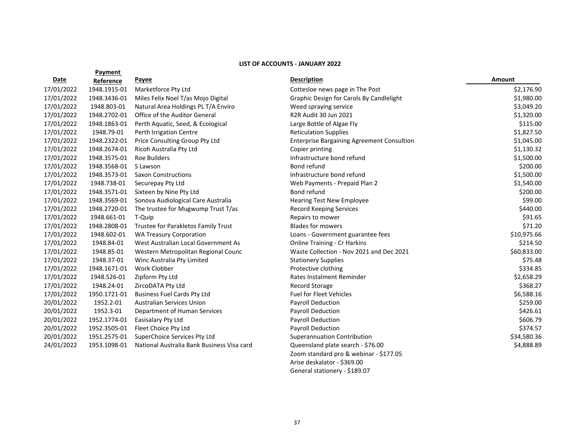|            | Payment      |                                            |                                                   |             |
|------------|--------------|--------------------------------------------|---------------------------------------------------|-------------|
| Date       | Reference    | <b>Payee</b>                               | <b>Description</b>                                | Amount      |
| 17/01/2022 | 1948.1915-01 | Marketforce Pty Ltd                        | Cottesloe news page in The Post                   | \$2,176.90  |
| 17/01/2022 | 1948.3436-01 | Miles Felix Noel T/as Mojo Digital         | Graphic Design for Carols By Candlelight          | \$1,980.00  |
| 17/01/2022 | 1948.803-01  | Natural Area Holdings PL T/A Enviro        | Weed spraying service                             | \$3,049.20  |
| 17/01/2022 | 1948.2702-01 | Office of the Auditor General              | R2R Audit 30 Jun 2021                             | \$1,320.00  |
| 17/01/2022 | 1948.1863-01 | Perth Aquatic, Seed, & Ecological          | Large Bottle of Algae Fly                         | \$115.00    |
| 17/01/2022 | 1948.79-01   | Perth Irrigation Centre                    | <b>Reticulation Supplies</b>                      | \$1,827.50  |
| 17/01/2022 | 1948.2322-01 | Price Consulting Group Pty Ltd             | <b>Enterprise Bargaining Agreement Consultion</b> | \$1,045.00  |
| 17/01/2022 | 1948.2674-01 | Ricoh Australia Pty Ltd                    | Copier printing                                   | \$1,130.32  |
| 17/01/2022 | 1948.3575-01 | <b>Roe Builders</b>                        | Infrastructure bond refund                        | \$1,500.00  |
| 17/01/2022 | 1948.3568-01 | S Lawson                                   | Bond refund                                       | \$200.00    |
| 17/01/2022 | 1948.3573-01 | <b>Saxon Constructions</b>                 | Infrastructure bond refund                        | \$1,500.00  |
| 17/01/2022 | 1948.738-01  | Securepay Pty Ltd                          | Web Payments - Prepaid Plan 2                     | \$1,540.00  |
| 17/01/2022 | 1948.3571-01 | Sixteen by Nine Pty Ltd                    | Bond refund                                       | \$200.00    |
| 17/01/2022 | 1948.3569-01 | Sonova Audiological Care Australia         | <b>Hearing Test New Employee</b>                  | \$99.00     |
| 17/01/2022 | 1948.2720-01 | The trustee for Mugwump Trust T/as         | Record Keeping Services                           | \$440.00    |
| 17/01/2022 | 1948.661-01  | T-Quip                                     | Repairs to mower                                  | \$91.65     |
| 17/01/2022 | 1948.2808-01 | Trustee for Parakletos Family Trust        | <b>Blades for mowers</b>                          | \$71.20     |
| 17/01/2022 | 1948.602-01  | <b>WA Treasury Corporation</b>             | Loans - Government guarantee fees                 | \$10,975.66 |
| 17/01/2022 | 1948.84-01   | West Australian Local Government As        | <b>Online Training - Cr Harkins</b>               | \$214.50    |
| 17/01/2022 | 1948.85-01   | Western Metropolitan Regional Counc        | Waste Collection - Nov 2021 and Dec 2021          | \$60,833.00 |
| 17/01/2022 | 1948.37-01   | Winc Australia Pty Limited                 | <b>Stationery Supplies</b>                        | \$75.48     |
| 17/01/2022 | 1948.1671-01 | Work Clobber                               | Protective clothing                               | \$334.85    |
| 17/01/2022 | 1948.526-01  | Zipform Pty Ltd                            | Rates Instalment Reminder                         | \$2,658.29  |
| 17/01/2022 | 1948.24-01   | ZircoDATA Pty Ltd                          | Record Storage                                    | \$368.27    |
| 17/01/2022 | 1950.1721-01 | <b>Business Fuel Cards Pty Ltd</b>         | <b>Fuel for Fleet Vehicles</b>                    | \$6,588.16  |
| 20/01/2022 | 1952.2-01    | <b>Australian Services Union</b>           | <b>Payroll Deduction</b>                          | \$259.00    |
| 20/01/2022 | 1952.3-01    | Department of Human Services               | <b>Payroll Deduction</b>                          | \$426.61    |
| 20/01/2022 | 1952.1774-01 | Easisalary Pty Ltd                         | Payroll Deduction                                 | \$606.79    |
| 20/01/2022 | 1952.3505-01 | Fleet Choice Pty Ltd                       | <b>Payroll Deduction</b>                          | \$374.57    |
| 20/01/2022 | 1951.2575-01 | SuperChoice Services Pty Ltd               | <b>Superannuation Contribution</b>                | \$34,580.36 |
| 24/01/2022 | 1953.1098-01 | National Australia Bank Business Visa card | Queensland plate search - \$76.00                 | \$4,888.89  |
|            |              |                                            | Zoom standard pro & webinar - \$177.05            |             |
|            |              |                                            | Arise deskalator - \$369.00                       |             |

General stationery ‐ \$189.07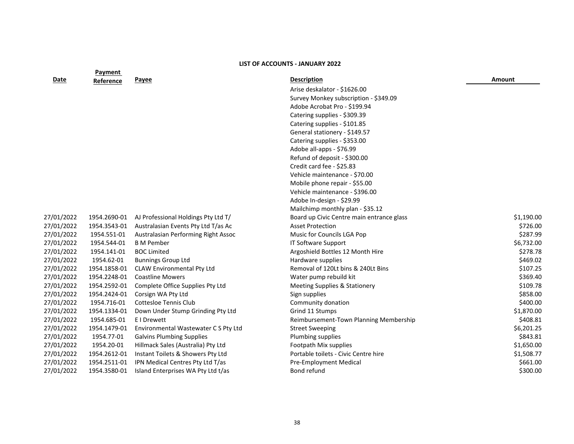|            | <b>LIST OF ACCOUNTS - JANUARY 2022</b> |                                      |                                           |            |  |  |
|------------|----------------------------------------|--------------------------------------|-------------------------------------------|------------|--|--|
| Date       | Payment<br>Reference                   | Payee                                | <b>Description</b>                        | Amount     |  |  |
|            |                                        |                                      | Arise deskalator - \$1626.00              |            |  |  |
|            |                                        |                                      | Survey Monkey subscription - \$349.09     |            |  |  |
|            |                                        |                                      | Adobe Acrobat Pro - \$199.94              |            |  |  |
|            |                                        |                                      | Catering supplies - \$309.39              |            |  |  |
|            |                                        |                                      | Catering supplies - \$101.85              |            |  |  |
|            |                                        |                                      | General stationery - \$149.57             |            |  |  |
|            |                                        |                                      | Catering supplies - \$353.00              |            |  |  |
|            |                                        |                                      | Adobe all-apps - \$76.99                  |            |  |  |
|            |                                        |                                      | Refund of deposit - \$300.00              |            |  |  |
|            |                                        |                                      | Credit card fee - \$25.83                 |            |  |  |
|            |                                        |                                      | Vehicle maintenance - \$70.00             |            |  |  |
|            |                                        |                                      | Mobile phone repair - \$55.00             |            |  |  |
|            |                                        |                                      | Vehicle maintenance - \$396.00            |            |  |  |
|            |                                        |                                      | Adobe In-design - \$29.99                 |            |  |  |
|            |                                        |                                      | Mailchimp monthly plan - \$35.12          |            |  |  |
| 27/01/2022 | 1954.2690-01                           | AJ Professional Holdings Pty Ltd T/  | Board up Civic Centre main entrance glass | \$1,190.00 |  |  |
| 27/01/2022 | 1954.3543-01                           | Australasian Events Pty Ltd T/as Ac  | <b>Asset Protection</b>                   | \$726.00   |  |  |
| 27/01/2022 | 1954.551-01                            | Australasian Performing Right Assoc  | Music for Councils LGA Pop                | \$287.99   |  |  |
| 27/01/2022 | 1954.544-01                            | <b>B</b> M Pember                    | IT Software Support                       | \$6,732.00 |  |  |
| 27/01/2022 | 1954.141-01                            | <b>BOC Limited</b>                   | Argoshield Bottles 12 Month Hire          | \$278.78   |  |  |
| 27/01/2022 | 1954.62-01                             | <b>Bunnings Group Ltd</b>            | Hardware supplies                         | \$469.02   |  |  |
| 27/01/2022 | 1954.1858-01                           | <b>CLAW Environmental Pty Ltd</b>    | Removal of 120Lt bins & 240Lt Bins        | \$107.25   |  |  |
| 27/01/2022 | 1954.2248-01                           | <b>Coastline Mowers</b>              | Water pump rebuild kit                    | \$369.40   |  |  |
| 27/01/2022 | 1954.2592-01                           | Complete Office Supplies Pty Ltd     | <b>Meeting Supplies &amp; Stationery</b>  | \$109.78   |  |  |
| 27/01/2022 | 1954.2424-01                           | Corsign WA Pty Ltd                   | Sign supplies                             | \$858.00   |  |  |
| 27/01/2022 | 1954.716-01                            | <b>Cottesloe Tennis Club</b>         | Community donation                        | \$400.00   |  |  |
| 27/01/2022 | 1954.1334-01                           | Down Under Stump Grinding Pty Ltd    | Grind 11 Stumps                           | \$1,870.00 |  |  |
| 27/01/2022 | 1954.685-01                            | E I Drewett                          | Reimbursement-Town Planning Membership    | \$408.81   |  |  |
| 27/01/2022 | 1954.1479-01                           | Environmental Wastewater C S Pty Ltd | <b>Street Sweeping</b>                    | \$6,201.25 |  |  |
| 27/01/2022 | 1954.77-01                             | <b>Galvins Plumbing Supplies</b>     | Plumbing supplies                         | \$843.81   |  |  |
| 27/01/2022 | 1954.20-01                             | Hillmack Sales (Australia) Pty Ltd   | Footpath Mix supplies                     | \$1,650.00 |  |  |
| 27/01/2022 | 1954.2612-01                           | Instant Toilets & Showers Pty Ltd    | Portable toilets - Civic Centre hire      | \$1,508.77 |  |  |
| 27/01/2022 | 1954.2511-01                           | IPN Medical Centres Pty Ltd T/as     | Pre-Employment Medical                    | \$661.00   |  |  |
| 27/01/2022 | 1954.3580-01                           | Island Enterprises WA Pty Ltd t/as   | Bond refund                               | \$300.00   |  |  |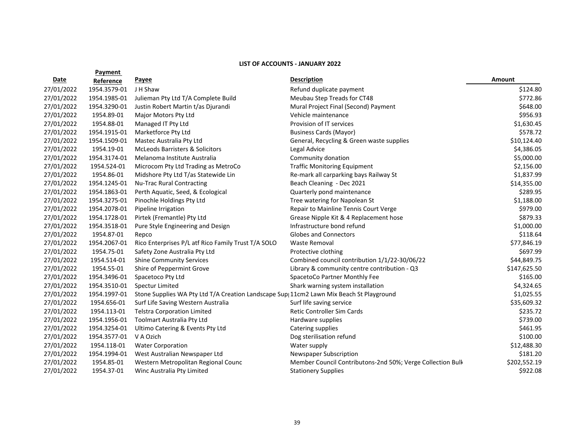|            | Payment      |                                                                                         |                                                            |              |
|------------|--------------|-----------------------------------------------------------------------------------------|------------------------------------------------------------|--------------|
| Date       | Reference    | <b>Payee</b>                                                                            | <b>Description</b>                                         | Amount       |
| 27/01/2022 | 1954.3579-01 | J H Shaw                                                                                | Refund duplicate payment                                   | \$124.80     |
| 27/01/2022 | 1954.1985-01 | Julieman Pty Ltd T/A Complete Build                                                     | Meubau Step Treads for CT48                                | \$772.86     |
| 27/01/2022 | 1954.3290-01 | Justin Robert Martin t/as Djurandi                                                      | Mural Project Final (Second) Payment                       | \$648.00     |
| 27/01/2022 | 1954.89-01   | Major Motors Pty Ltd                                                                    | Vehicle maintenance                                        | \$956.93     |
| 27/01/2022 | 1954.88-01   | Managed IT Pty Ltd                                                                      | Provision of IT services                                   | \$1,630.45   |
| 27/01/2022 | 1954.1915-01 | Marketforce Pty Ltd                                                                     | <b>Business Cards (Mayor)</b>                              | \$578.72     |
| 27/01/2022 | 1954.1509-01 | Mastec Australia Pty Ltd                                                                | General, Recycling & Green waste supplies                  | \$10,124.40  |
| 27/01/2022 | 1954.19-01   | <b>McLeods Barristers &amp; Solicitors</b>                                              | Legal Advice                                               | \$4,386.05   |
| 27/01/2022 | 1954.3174-01 | Melanoma Institute Australia                                                            | Community donation                                         | \$5,000.00   |
| 27/01/2022 | 1954.524-01  | Microcom Pty Ltd Trading as MetroCo                                                     | <b>Traffic Monitoring Equipment</b>                        | \$2,156.00   |
| 27/01/2022 | 1954.86-01   | Midshore Pty Ltd T/as Statewide Lin                                                     | Re-mark all carparking bays Railway St                     | \$1,837.99   |
| 27/01/2022 | 1954.1245-01 | <b>Nu-Trac Rural Contracting</b>                                                        | Beach Cleaning - Dec 2021                                  | \$14,355.00  |
| 27/01/2022 | 1954.1863-01 | Perth Aquatic, Seed, & Ecological                                                       | Quarterly pond maintenance                                 | \$289.95     |
| 27/01/2022 | 1954.3275-01 | Pinochle Holdings Pty Ltd                                                               | Tree watering for Napolean St                              | \$1,188.00   |
| 27/01/2022 | 1954.2078-01 | Pipeline Irrigation                                                                     | Repair to Mainline Tennis Court Verge                      | \$979.00     |
| 27/01/2022 | 1954.1728-01 | Pirtek (Fremantle) Pty Ltd                                                              | Grease Nipple Kit & 4 Replacement hose                     | \$879.33     |
| 27/01/2022 | 1954.3518-01 | Pure Style Engineering and Design                                                       | Infrastructure bond refund                                 | \$1,000.00   |
| 27/01/2022 | 1954.87-01   | Repco                                                                                   | <b>Globes and Connectors</b>                               | \$118.64     |
| 27/01/2022 | 1954.2067-01 | Rico Enterprises P/L atf Rico Family Trust T/A SOLO                                     | <b>Waste Removal</b>                                       | \$77,846.19  |
| 27/01/2022 | 1954.75-01   | Safety Zone Australia Pty Ltd                                                           | Protective clothing                                        | \$697.99     |
| 27/01/2022 | 1954.514-01  | <b>Shine Community Services</b>                                                         | Combined council contribution 1/1/22-30/06/22              | \$44,849.75  |
| 27/01/2022 | 1954.55-01   | Shire of Peppermint Grove                                                               | Library & community centre contribution - Q3               | \$147,625.50 |
| 27/01/2022 | 1954.3496-01 | Spacetoco Pty Ltd                                                                       | SpacetoCo Partner Monthly Fee                              | \$165.00     |
| 27/01/2022 | 1954.3510-01 | Spectur Limited                                                                         | Shark warning system installation                          | \$4,324.65   |
| 27/01/2022 | 1954.1997-01 | Stone Supplies WA Pty Ltd T/A Creation Landscape Sup 11cm2 Lawn Mix Beach St Playground |                                                            | \$1,025.55   |
| 27/01/2022 | 1954.656-01  | Surf Life Saving Western Australia                                                      | Surf life saving service                                   | \$35,609.32  |
| 27/01/2022 | 1954.113-01  | <b>Telstra Corporation Limited</b>                                                      | <b>Retic Controller Sim Cards</b>                          | \$235.72     |
| 27/01/2022 | 1954.1956-01 | Toolmart Australia Pty Ltd                                                              | Hardware supplies                                          | \$739.00     |
| 27/01/2022 | 1954.3254-01 | Ultimo Catering & Events Pty Ltd                                                        | Catering supplies                                          | \$461.95     |
| 27/01/2022 | 1954.3577-01 | V A Ozich                                                                               | Dog sterilisation refund                                   | \$100.00     |
| 27/01/2022 | 1954.118-01  | <b>Water Corporation</b>                                                                | Water supply                                               | \$12,488.30  |
| 27/01/2022 | 1954.1994-01 | West Australian Newspaper Ltd                                                           | Newspaper Subscription                                     | \$181.20     |
| 27/01/2022 | 1954.85-01   | Western Metropolitan Regional Counc                                                     | Member Council Contributons-2nd 50%; Verge Collection Bulk | \$202,552.19 |
| 27/01/2022 | 1954.37-01   | Winc Australia Pty Limited                                                              | <b>Stationery Supplies</b>                                 | \$922.08     |